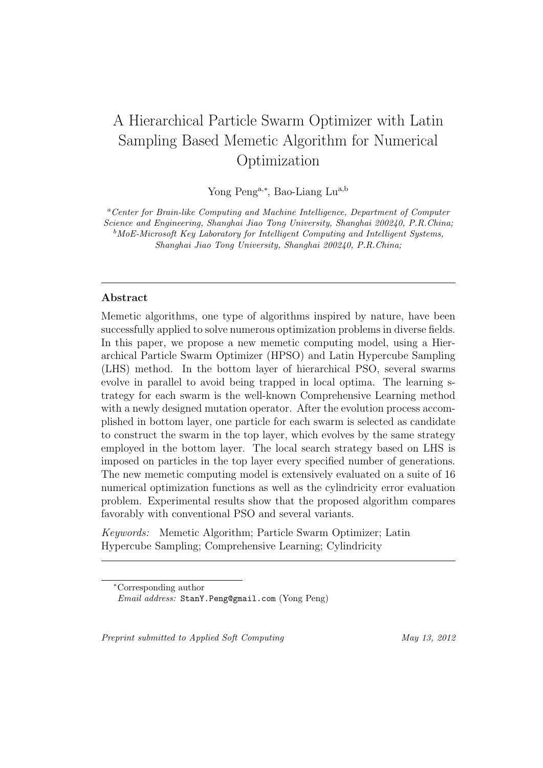# A Hierarchical Particle Swarm Optimizer with Latin Sampling Based Memetic Algorithm for Numerical Optimization

Yong Peng<sup>a,∗</sup>, Bao-Liang Lu<sup>a,b</sup>

*<sup>a</sup>Center for Brain-like Computing and Machine Intelligence, Department of Computer Science and Engineering, Shanghai Jiao Tong University, Shanghai 200240, P.R.China; <sup>b</sup>MoE-Microsoft Key Laboratory for Intelligent Computing and Intelligent Systems, Shanghai Jiao Tong University, Shanghai 200240, P.R.China;*

# **Abstract**

Memetic algorithms, one type of algorithms inspired by nature, have been successfully applied to solve numerous optimization problems in diverse fields. In this paper, we propose a new memetic computing model, using a Hierarchical Particle Swarm Optimizer (HPSO) and Latin Hypercube Sampling (LHS) method. In the bottom layer of hierarchical PSO, several swarms evolve in parallel to avoid being trapped in local optima. The learning strategy for each swarm is the well-known Comprehensive Learning method with a newly designed mutation operator. After the evolution process accomplished in bottom layer, one particle for each swarm is selected as candidate to construct the swarm in the top layer, which evolves by the same strategy employed in the bottom layer. The local search strategy based on LHS is imposed on particles in the top layer every specified number of generations. The new memetic computing model is extensively evaluated on a suite of 16 numerical optimization functions as well as the cylindricity error evaluation problem. Experimental results show that the proposed algorithm compares favorably with conventional PSO and several variants.

*Keywords:* Memetic Algorithm; Particle Swarm Optimizer; Latin Hypercube Sampling; Comprehensive Learning; Cylindricity

*Preprint submitted to Applied Soft Computing May 13, 2012*

*<sup>∗</sup>*Corresponding author

*Email address:* StanY.Peng@gmail.com (Yong Peng)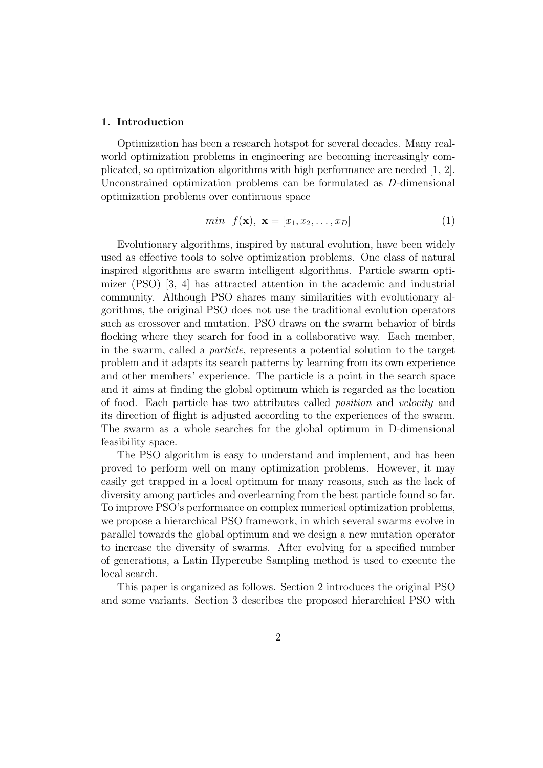### **1. Introduction**

Optimization has been a research hotspot for several decades. Many realworld optimization problems in engineering are becoming increasingly complicated, so optimization algorithms with high performance are needed [1, 2]. Unconstrained optimization problems can be formulated as *D*-dimensional optimization problems over continuous space

$$
min f(\mathbf{x}), \mathbf{x} = [x_1, x_2, \dots, x_D]
$$
\n(1)

Evolutionary algorithms, inspired by natural evolution, have been widely used as effective tools to solve optimization problems. One class of natural inspired algorithms are swarm intelligent algorithms. Particle swarm optimizer (PSO) [3, 4] has attracted attention in the academic and industrial community. Although PSO shares many similarities with evolutionary algorithms, the original PSO does not use the traditional evolution operators such as crossover and mutation. PSO draws on the swarm behavior of birds flocking where they search for food in a collaborative way. Each member, in the swarm, called a *particle*, represents a potential solution to the target problem and it adapts its search patterns by learning from its own experience and other members' experience. The particle is a point in the search space and it aims at finding the global optimum which is regarded as the location of food. Each particle has two attributes called *position* and *velocity* and its direction of flight is adjusted according to the experiences of the swarm. The swarm as a whole searches for the global optimum in D-dimensional feasibility space.

The PSO algorithm is easy to understand and implement, and has been proved to perform well on many optimization problems. However, it may easily get trapped in a local optimum for many reasons, such as the lack of diversity among particles and overlearning from the best particle found so far. To improve PSO's performance on complex numerical optimization problems, we propose a hierarchical PSO framework, in which several swarms evolve in parallel towards the global optimum and we design a new mutation operator to increase the diversity of swarms. After evolving for a specified number of generations, a Latin Hypercube Sampling method is used to execute the local search.

This paper is organized as follows. Section 2 introduces the original PSO and some variants. Section 3 describes the proposed hierarchical PSO with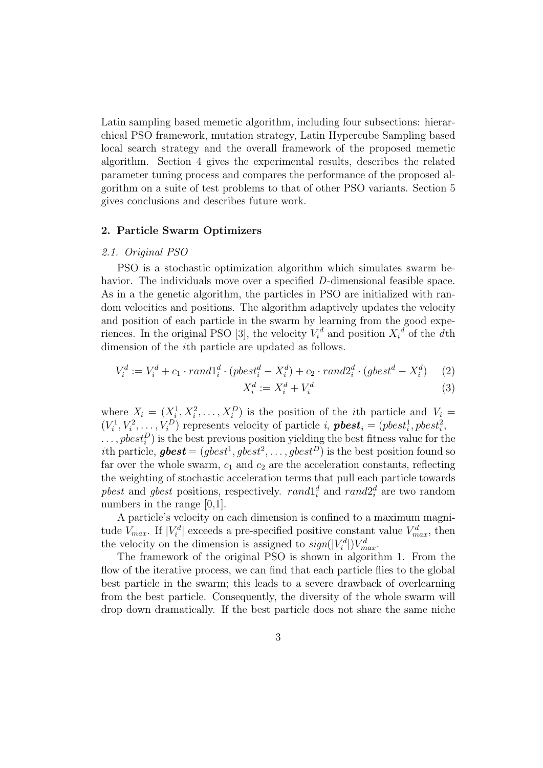Latin sampling based memetic algorithm, including four subsections: hierarchical PSO framework, mutation strategy, Latin Hypercube Sampling based local search strategy and the overall framework of the proposed memetic algorithm. Section 4 gives the experimental results, describes the related parameter tuning process and compares the performance of the proposed algorithm on a suite of test problems to that of other PSO variants. Section 5 gives conclusions and describes future work.

## **2. Particle Swarm Optimizers**

#### *2.1. Original PSO*

PSO is a stochastic optimization algorithm which simulates swarm behavior. The individuals move over a specified *D*-dimensional feasible space. As in a the genetic algorithm, the particles in PSO are initialized with random velocities and positions. The algorithm adaptively updates the velocity and position of each particle in the swarm by learning from the good experiences. In the original PSO [3], the velocity  $V_i^d$  and position  $X_i^d$  of the *d*th dimension of the *i*th particle are updated as follows.

$$
V_i^d := V_i^d + c_1 \cdot rand1_i^d \cdot (pbest_i^d - X_i^d) + c_2 \cdot rand2_i^d \cdot (gbest^d - X_i^d) \tag{2}
$$

$$
X_i^d := X_i^d + V_i^d \tag{3}
$$

where  $X_i = (X_i^1, X_i^2, \dots, X_i^D)$  is the position of the *i*th particle and  $V_i =$  $(V_i^1, V_i^2, \ldots, V_i^D)$  represents velocity of particle *i*, **pbest**<sub>*i*</sub></sub> = (*pbest*<sup>1</sup><sub>*i*</sub>, *pbest*<sup>2</sup><sub>*i*</sub>,  $\dots$ ,  $pbest_i^D$  is the best previous position yielding the best fitness value for the *i*th particle, **gbest** =  $(gbest^1, gbest^2, \ldots, gbest^D)$  is the best position found so far over the whole swarm,  $c_1$  and  $c_2$  are the acceleration constants, reflecting the weighting of stochastic acceleration terms that pull each particle towards *pbest* and *gbest* positions, respectively. *rand*<sup>1</sup><sup>*d*</sup> and *rand*<sup>2</sup><sup>*d*</sup> are two random numbers in the range  $[0,1]$ .

A particle's velocity on each dimension is confined to a maximum magnitude  $V_{max}$ . If  $|V_i^d|$  exceeds a pre-specified positive constant value  $V_{max}^d$ , then the velocity on the dimension is assigned to  $sign(|V_i^d|)V_{max}^d$ .

The framework of the original PSO is shown in algorithm 1. From the flow of the iterative process, we can find that each particle flies to the global best particle in the swarm; this leads to a severe drawback of overlearning from the best particle. Consequently, the diversity of the whole swarm will drop down dramatically. If the best particle does not share the same niche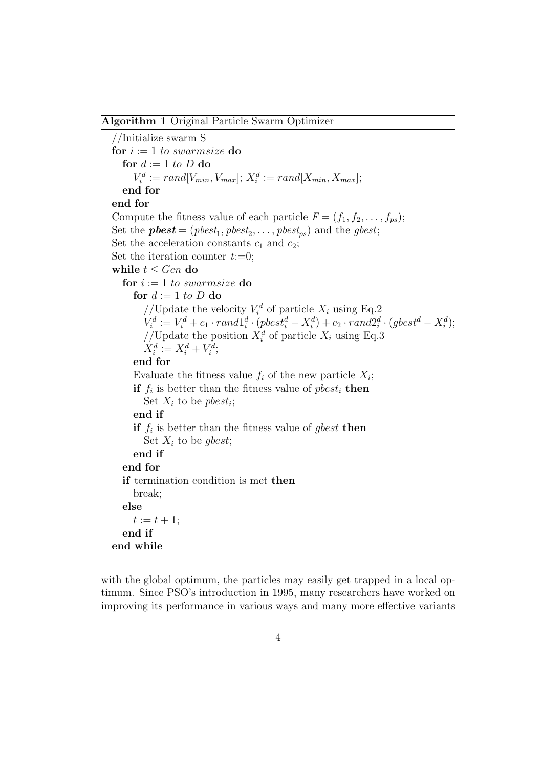## **Algorithm 1** Original Particle Swarm Optimizer

//Initialize swarm S **for** *i* := 1 *to swarmsize* **do for**  $d := 1$  *to*  $D$  **do**  $V_i^d := rand[V_{min}, V_{max}]$ ;  $X_i^d := rand[X_{min}, X_{max}]$ ; **end for end for** Compute the fitness value of each particle  $F = (f_1, f_2, \ldots, f_{ps})$ ; Set the  $\boldsymbol{pbest} = (pbest_1, pbest_2, \ldots, pbest_{ps})$  and the *gbest*; Set the acceleration constants  $c_1$  and  $c_2$ ; Set the iteration counter  $t:=0$ ; **while**  $t \leq Gen$  **do for** *i* := 1 *to swarmsize* **do for**  $d := 1$  *to*  $D$  **do** //Update the velocity  $V_i^d$  of particle  $X_i$  using Eq.2  $V_i^d := V_i^d + c_1 \cdot rand1_i^d \cdot (pbest_i^d - X_i^d) + c_2 \cdot rand2_i^d \cdot (gbest^d - X_i^d);$ //Update the position  $X_i^d$  of particle  $X_i$  using Eq.3  $X_i^d := X_i^d + V_i^d;$ **end for** Evaluate the fitness value  $f_i$  of the new particle  $X_i$ ; **if** *f<sup>i</sup>* is better than the fitness value of *pbest<sup>i</sup>* **then** Set *X<sup>i</sup>* to be *pbest<sup>i</sup>* ; **end if if** *f<sup>i</sup>* is better than the fitness value of *gbest* **then** Set *X<sup>i</sup>* to be *gbest*; **end if end for if** termination condition is met **then** break; **else**  $t := t + 1;$ **end if end while**

with the global optimum, the particles may easily get trapped in a local optimum. Since PSO's introduction in 1995, many researchers have worked on improving its performance in various ways and many more effective variants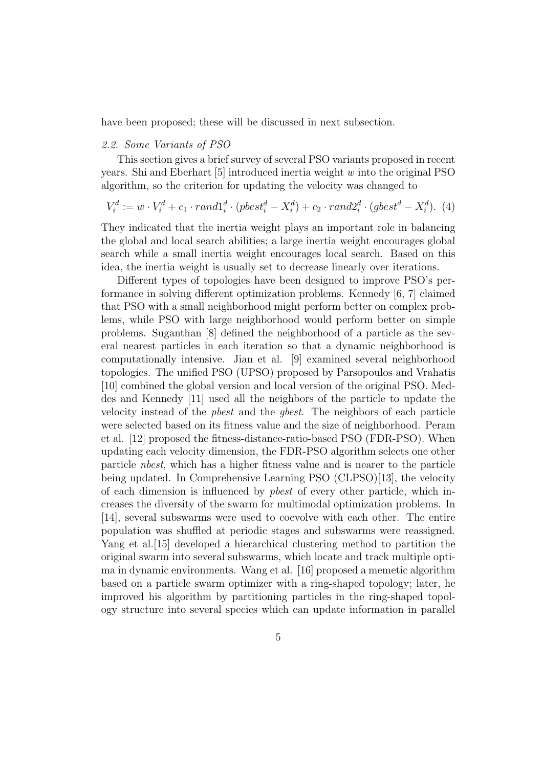have been proposed; these will be discussed in next subsection.

## *2.2. Some Variants of PSO*

This section gives a brief survey of several PSO variants proposed in recent years. Shi and Eberhart [5] introduced inertia weight *w* into the original PSO algorithm, so the criterion for updating the velocity was changed to

$$
V_i^d := w \cdot V_i^d + c_1 \cdot rand1_i^d \cdot (pbest_i^d - X_i^d) + c_2 \cdot rand2_i^d \cdot (gbest^d - X_i^d). \tag{4}
$$

They indicated that the inertia weight plays an important role in balancing the global and local search abilities; a large inertia weight encourages global search while a small inertia weight encourages local search. Based on this idea, the inertia weight is usually set to decrease linearly over iterations.

Different types of topologies have been designed to improve PSO's performance in solving different optimization problems. Kennedy [6, 7] claimed that PSO with a small neighborhood might perform better on complex problems, while PSO with large neighborhood would perform better on simple problems. Suganthan [8] defined the neighborhood of a particle as the several nearest particles in each iteration so that a dynamic neighborhood is computationally intensive. Jian et al. [9] examined several neighborhood topologies. The unified PSO (UPSO) proposed by Parsopoulos and Vrahatis [10] combined the global version and local version of the original PSO. Meddes and Kennedy [11] used all the neighbors of the particle to update the velocity instead of the *pbest* and the *gbest*. The neighbors of each particle were selected based on its fitness value and the size of neighborhood. Peram et al. [12] proposed the fitness-distance-ratio-based PSO (FDR-PSO). When updating each velocity dimension, the FDR-PSO algorithm selects one other particle *nbest*, which has a higher fitness value and is nearer to the particle being updated. In Comprehensive Learning PSO (CLPSO)[13], the velocity of each dimension is influenced by *pbest* of every other particle, which increases the diversity of the swarm for multimodal optimization problems. In [14], several subswarms were used to coevolve with each other. The entire population was shuffled at periodic stages and subswarms were reassigned. Yang et al.[15] developed a hierarchical clustering method to partition the original swarm into several subswarms, which locate and track multiple optima in dynamic environments. Wang et al. [16] proposed a memetic algorithm based on a particle swarm optimizer with a ring-shaped topology; later, he improved his algorithm by partitioning particles in the ring-shaped topology structure into several species which can update information in parallel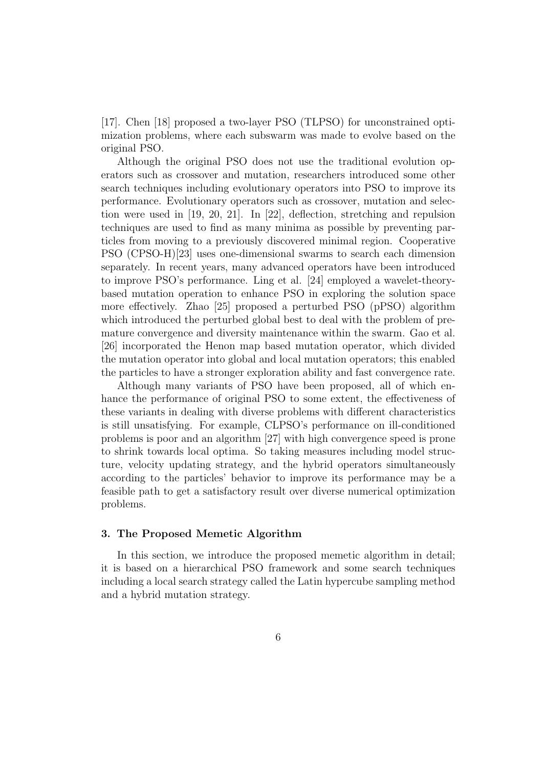[17]. Chen [18] proposed a two-layer PSO (TLPSO) for unconstrained optimization problems, where each subswarm was made to evolve based on the original PSO.

Although the original PSO does not use the traditional evolution operators such as crossover and mutation, researchers introduced some other search techniques including evolutionary operators into PSO to improve its performance. Evolutionary operators such as crossover, mutation and selection were used in [19, 20, 21]. In [22], deflection, stretching and repulsion techniques are used to find as many minima as possible by preventing particles from moving to a previously discovered minimal region. Cooperative PSO (CPSO-H)[23] uses one-dimensional swarms to search each dimension separately. In recent years, many advanced operators have been introduced to improve PSO's performance. Ling et al. [24] employed a wavelet-theorybased mutation operation to enhance PSO in exploring the solution space more effectively. Zhao [25] proposed a perturbed PSO (pPSO) algorithm which introduced the perturbed global best to deal with the problem of premature convergence and diversity maintenance within the swarm. Gao et al. [26] incorporated the Henon map based mutation operator, which divided the mutation operator into global and local mutation operators; this enabled the particles to have a stronger exploration ability and fast convergence rate.

Although many variants of PSO have been proposed, all of which enhance the performance of original PSO to some extent, the effectiveness of these variants in dealing with diverse problems with different characteristics is still unsatisfying. For example, CLPSO's performance on ill-conditioned problems is poor and an algorithm [27] with high convergence speed is prone to shrink towards local optima. So taking measures including model structure, velocity updating strategy, and the hybrid operators simultaneously according to the particles' behavior to improve its performance may be a feasible path to get a satisfactory result over diverse numerical optimization problems.

# **3. The Proposed Memetic Algorithm**

In this section, we introduce the proposed memetic algorithm in detail; it is based on a hierarchical PSO framework and some search techniques including a local search strategy called the Latin hypercube sampling method and a hybrid mutation strategy.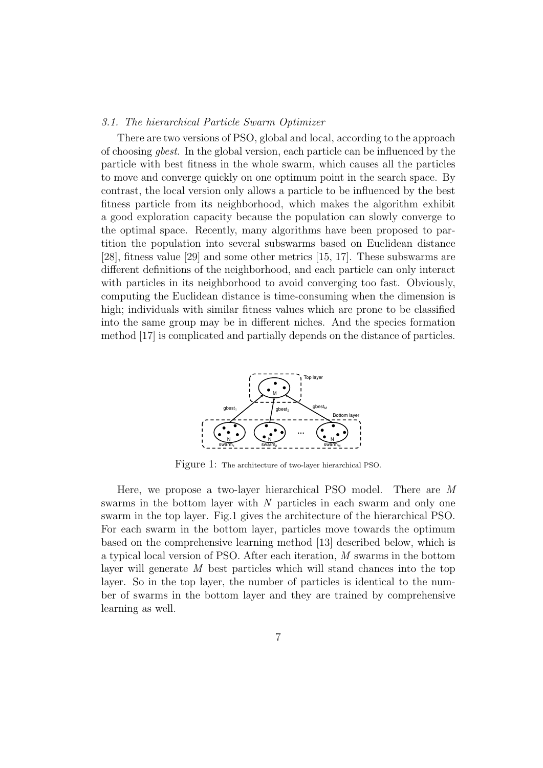# *3.1. The hierarchical Particle Swarm Optimizer*

There are two versions of PSO, global and local, according to the approach of choosing *gbest*. In the global version, each particle can be influenced by the particle with best fitness in the whole swarm, which causes all the particles to move and converge quickly on one optimum point in the search space. By contrast, the local version only allows a particle to be influenced by the best fitness particle from its neighborhood, which makes the algorithm exhibit a good exploration capacity because the population can slowly converge to the optimal space. Recently, many algorithms have been proposed to partition the population into several subswarms based on Euclidean distance [28], fitness value [29] and some other metrics [15, 17]. These subswarms are different definitions of the neighborhood, and each particle can only interact with particles in its neighborhood to avoid converging too fast. Obviously, computing the Euclidean distance is time-consuming when the dimension is high; individuals with similar fitness values which are prone to be classified into the same group may be in different niches. And the species formation method [17] is complicated and partially depends on the distance of particles.



Figure 1: The architecture of two-layer hierarchical PSO.

Here, we propose a two-layer hierarchical PSO model. There are *M* swarms in the bottom layer with *N* particles in each swarm and only one swarm in the top layer. Fig.1 gives the architecture of the hierarchical PSO. For each swarm in the bottom layer, particles move towards the optimum based on the comprehensive learning method [13] described below, which is a typical local version of PSO. After each iteration, *M* swarms in the bottom layer will generate *M* best particles which will stand chances into the top layer. So in the top layer, the number of particles is identical to the number of swarms in the bottom layer and they are trained by comprehensive learning as well.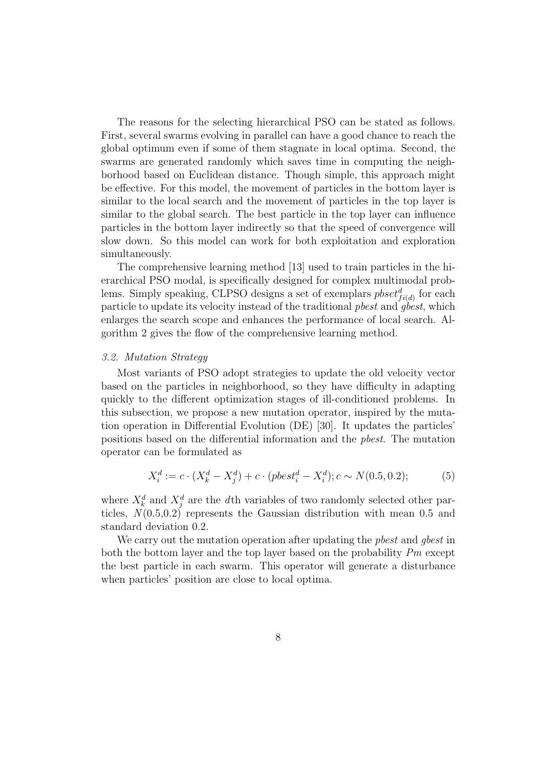The reasons for the selecting hierarchical PSO can be stated as follows. First, several swarms evolving in parallel can have a good chance to reach the global optimum even if some of them stagnate in local optima. Second, the swarms are generated randomly which saves time in computing the neighborhood based on Euclidean distance. Though simple, this approach might be effective. For this model, the movement of particles in the bottom layer is similar to the local search and the movement of particles in the top layer is similar to the global search. The best particle in the top layer can influence particles in the bottom layer indirectly so that the speed of convergence will slow down. So this model can work for both exploitation and exploration simultaneously.

The comprehensive learning method [13] used to train particles in the hierarchical PSO modal, is specifically designed for complex multimodal problems. Simply speaking, CLPSO designs a set of exemplars  $pbest_{fi(d)}^d$  for each particle to update its velocity instead of the traditional *pbest* and *gbest*, which enlarges the search scope and enhances the performance of local search. Algorithm 2 gives the flow of the comprehensive learning method.

## *3.2. Mutation Strategy*

Most variants of PSO adopt strategies to update the old velocity vector based on the particles in neighborhood, so they have difficulty in adapting quickly to the different optimization stages of ill-conditioned problems. In this subsection, we propose a new mutation operator, inspired by the mutation operation in Differential Evolution (DE) [30]. It updates the particles' positions based on the differential information and the *pbest*. The mutation operator can be formulated as

$$
X_i^d := c \cdot (X_k^d - X_j^d) + c \cdot (pbest_i^d - X_i^d); c \sim N(0.5, 0.2); \tag{5}
$$

where  $X_k^d$  and  $X_j^d$  are the *d*th variables of two randomly selected other particles,  $N(0.5,0.2)$  represents the Gaussian distribution with mean 0.5 and standard deviation 0.2.

We carry out the mutation operation after updating the *pbest* and *gbest* in both the bottom layer and the top layer based on the probability *Pm* except the best particle in each swarm. This operator will generate a disturbance when particles' position are close to local optima.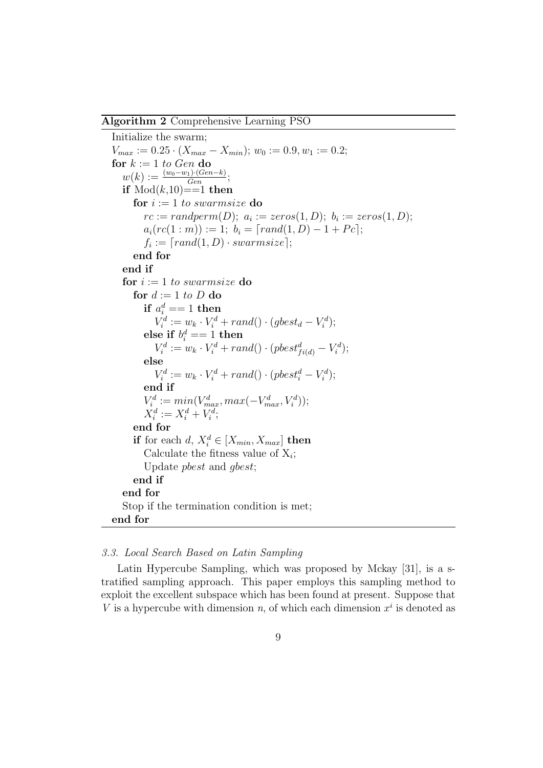**Algorithm 2** Comprehensive Learning PSO

Initialize the swarm;  $V_{max} := 0.25 \cdot (X_{max} - X_{min}); w_0 := 0.9, w_1 := 0.2;$ **for**  $k := 1$  *to Gen* **do**  $w(k) := \frac{(w_0 - w_1) \cdot (Gen - k)}{Gen};$ **if**  $Mod(k,10) == 1$  **then for** *i* := 1 *to swarmsize* **do**  $rc := random( D );\,\, a_i := zeros( 1,D );\,\, b_i := zeros( 1,D );$  $a_i(rc(1:m)) := 1; b_i = \lceil rand(1, D) - 1 + Pc \rceil;$  $f_i := \lceil rand(1, D) \cdot swarmsize \rceil;$ **end for end if for** *i* := 1 *to swarmsize* **do for**  $d := 1$  *to*  $D$  **do**  $\textbf{if} \,\, a_i^d == 1 \,\, \textbf{then}$  $V_i^d := w_k \cdot V_i^d + rand() \cdot (gbest_d - V_i^d);$  $\textbf{else if } b_i^d == 1 \textbf{ then}$  $V_i^d := w_k \cdot V_i^d + rand() \cdot (pbest_{fi(d)}^d - V_i^d);$ **else**  $V_i^d := w_k \cdot V_i^d + rand() \cdot (pbest_i^d - V_i^d);$ **end if**  $V_i^d := min(V_{max}^d, max(-V_{max}^d, V_i^d));$  $X_i^d := X_i^d + V_i^d;$ **end for if** for each *d*,  $X_i^d \in [X_{min}, X_{max}]$  **then** Calculate the fitness value of  $X_i$ ; Update *pbest* and *gbest*; **end if end for** Stop if the termination condition is met; **end for**

#### *3.3. Local Search Based on Latin Sampling*

Latin Hypercube Sampling, which was proposed by Mckay [31], is a stratified sampling approach. This paper employs this sampling method to exploit the excellent subspace which has been found at present. Suppose that *V* is a hypercube with dimension *n*, of which each dimension  $x^i$  is denoted as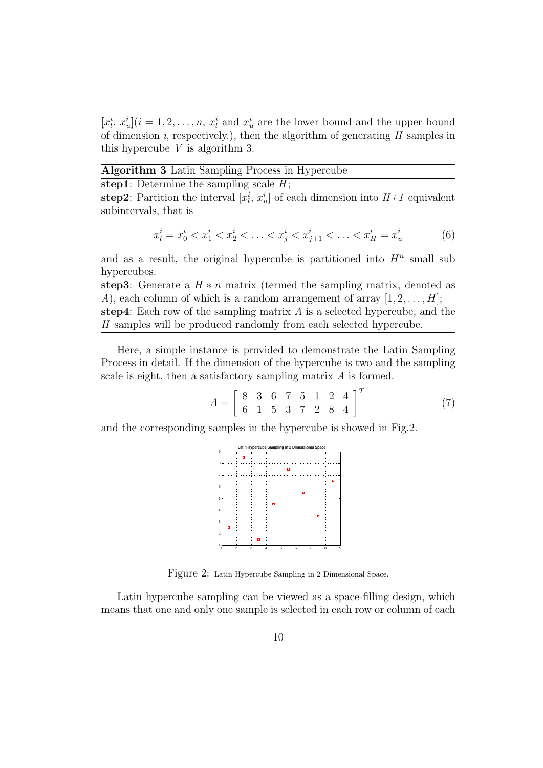$[x_i^i, x_u^i](i = 1, 2, \ldots, n, x_i^i$  and  $x_u^i$  are the lower bound and the upper bound of dimension *i*, respectively.), then the algorithm of generating *H* samples in this hypercube *V* is algorithm 3.

# **Algorithm 3** Latin Sampling Process in Hypercube

**step1**: Determine the sampling scale *H* ;

**step2**: Partition the interval  $[x_l^i, x_u^i]$  of each dimension into  $H+1$  equivalent subintervals, that is

$$
x_1^i = x_0^i < x_1^i < x_2^i < \ldots < x_j^i < x_{j+1}^i < \ldots < x_H^i = x_u^i \tag{6}
$$

and as a result, the original hypercube is partitioned into  $H<sup>n</sup>$  small sub hypercubes.

**step3**: Generate a  $H * n$  matrix (termed the sampling matrix, denoted as *A*), each column of which is a random arrangement of array  $[1, 2, \ldots, H]$ ;

**step4**: Each row of the sampling matrix *A* is a selected hypercube, and the *H* samples will be produced randomly from each selected hypercube.

Here, a simple instance is provided to demonstrate the Latin Sampling Process in detail. If the dimension of the hypercube is two and the sampling scale is eight, then a satisfactory sampling matrix *A* is formed.

$$
A = \left[ \begin{array}{cccccc} 8 & 3 & 6 & 7 & 5 & 1 & 2 & 4 \\ 6 & 1 & 5 & 3 & 7 & 2 & 8 & 4 \end{array} \right]^T
$$
 (7)

and the corresponding samples in the hypercube is showed in Fig.2.



Figure 2: Latin Hypercube Sampling in 2 Dimensional Space.

Latin hypercube sampling can be viewed as a space-filling design, which means that one and only one sample is selected in each row or column of each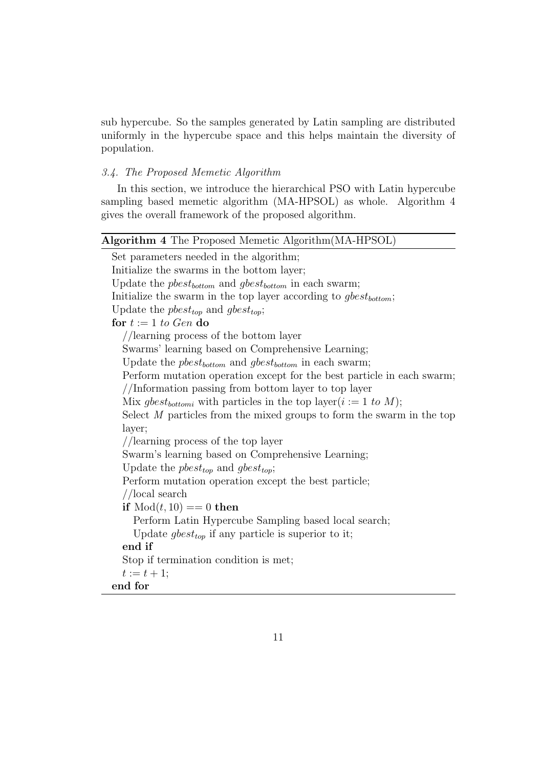sub hypercube. So the samples generated by Latin sampling are distributed uniformly in the hypercube space and this helps maintain the diversity of population.

# *3.4. The Proposed Memetic Algorithm*

In this section, we introduce the hierarchical PSO with Latin hypercube sampling based memetic algorithm (MA-HPSOL) as whole. Algorithm 4 gives the overall framework of the proposed algorithm.

| Algorithm 4 The Proposed Memetic Algorithm (MA-HPSOL)                                     |
|-------------------------------------------------------------------------------------------|
| Set parameters needed in the algorithm;                                                   |
| Initialize the swarms in the bottom layer;                                                |
| Update the <i>phest<sub>bottom</sub></i> and <i>ghest<sub>bottom</sub></i> in each swarm; |
| Initialize the swarm in the top layer according to $gbest_{bottom}$ ;                     |
| Update the <i>phest<sub>top</sub></i> and <i>gbest<sub>top</sub></i> ;                    |
| for $t := 1$ to Gen do                                                                    |
| //learning process of the bottom layer                                                    |
| Swarms' learning based on Comprehensive Learning;                                         |
| Update the $pbest_{bottom}$ and $gbest_{bottom}$ in each swarm;                           |
| Perform mutation operation except for the best particle in each swarm;                    |
| //Information passing from bottom layer to top layer                                      |
| Mix gbest <sub>bottomi</sub> with particles in the top layer( $i := 1$ to M);             |
| Select $M$ particles from the mixed groups to form the swarm in the top                   |
| layer;                                                                                    |
| //learning process of the top layer                                                       |
| Swarm's learning based on Comprehensive Learning;                                         |
| Update the $pbest_{top}$ and $gbest_{top}$ ;                                              |
| Perform mutation operation except the best particle;                                      |
| $//$ local search                                                                         |
| if $Mod(t, 10) == 0$ then                                                                 |
| Perform Latin Hypercube Sampling based local search;                                      |
| Update $gbest_{top}$ if any particle is superior to it;                                   |
| end if                                                                                    |
| Stop if termination condition is met;                                                     |
| $t := t + 1;$                                                                             |
| end for                                                                                   |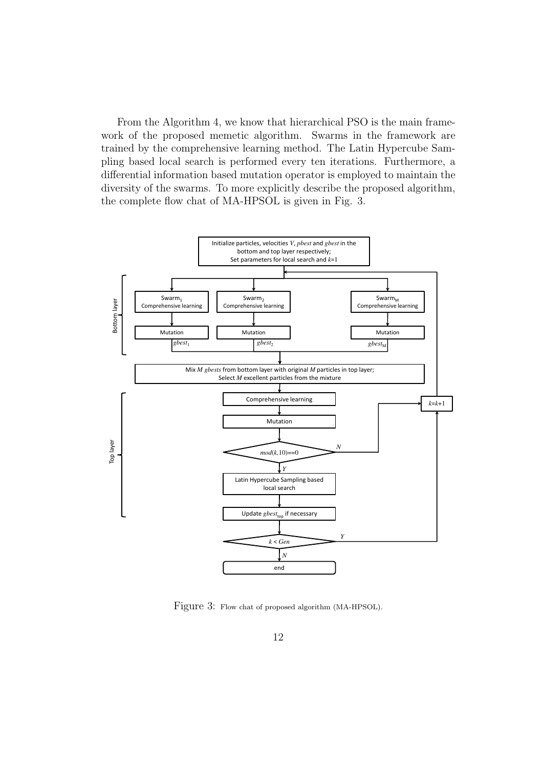From the Algorithm 4, we know that hierarchical PSO is the main framework of the proposed memetic algorithm. Swarms in the framework are trained by the comprehensive learning method. The Latin Hypercube Sampling based local search is performed every ten iterations. Furthermore, a differential information based mutation operator is employed to maintain the diversity of the swarms. To more explicitly describe the proposed algorithm, the complete flow chat of MA-HPSOL is given in Fig. 3.



Figure 3: Flow chat of proposed algorithm (MA-HPSOL).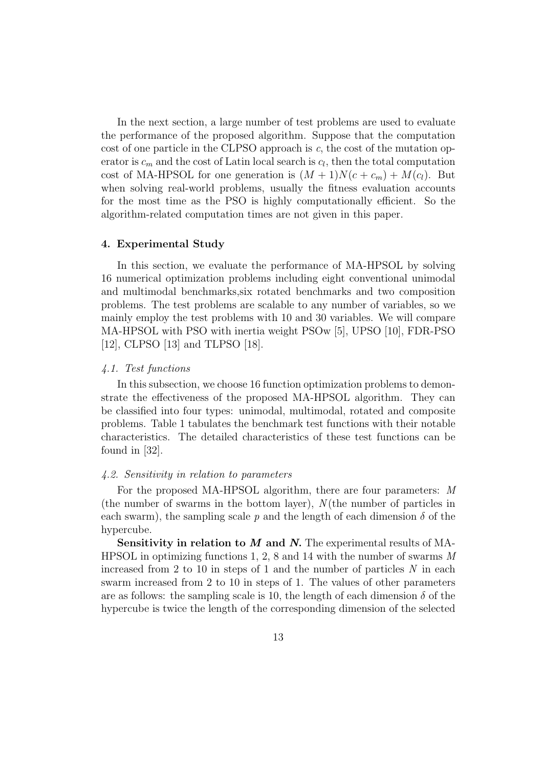In the next section, a large number of test problems are used to evaluate the performance of the proposed algorithm. Suppose that the computation cost of one particle in the CLPSO approach is *c*, the cost of the mutation operator is *c<sup>m</sup>* and the cost of Latin local search is *c<sup>l</sup>* , then the total computation cost of MA-HPSOL for one generation is  $(M + 1)N(c + c_m) + M(c_l)$ . But when solving real-world problems, usually the fitness evaluation accounts for the most time as the PSO is highly computationally efficient. So the algorithm-related computation times are not given in this paper.

# **4. Experimental Study**

In this section, we evaluate the performance of MA-HPSOL by solving 16 numerical optimization problems including eight conventional unimodal and multimodal benchmarks,six rotated benchmarks and two composition problems. The test problems are scalable to any number of variables, so we mainly employ the test problems with 10 and 30 variables. We will compare MA-HPSOL with PSO with inertia weight PSOw [5], UPSO [10], FDR-PSO [12], CLPSO [13] and TLPSO [18].

## *4.1. Test functions*

In this subsection, we choose 16 function optimization problems to demonstrate the effectiveness of the proposed MA-HPSOL algorithm. They can be classified into four types: unimodal, multimodal, rotated and composite problems. Table 1 tabulates the benchmark test functions with their notable characteristics. The detailed characteristics of these test functions can be found in [32].

## *4.2. Sensitivity in relation to parameters*

For the proposed MA-HPSOL algorithm, there are four parameters: *M* (the number of swarms in the bottom layer), *N* (the number of particles in each swarm), the sampling scale  $p$  and the length of each dimension  $\delta$  of the hypercube.

**Sensitivity in relation to** *M* **and** *N***.** The experimental results of MA-HPSOL in optimizing functions 1, 2, 8 and 14 with the number of swarms *M* increased from 2 to 10 in steps of 1 and the number of particles *N* in each swarm increased from 2 to 10 in steps of 1. The values of other parameters are as follows: the sampling scale is 10, the length of each dimension  $\delta$  of the hypercube is twice the length of the corresponding dimension of the selected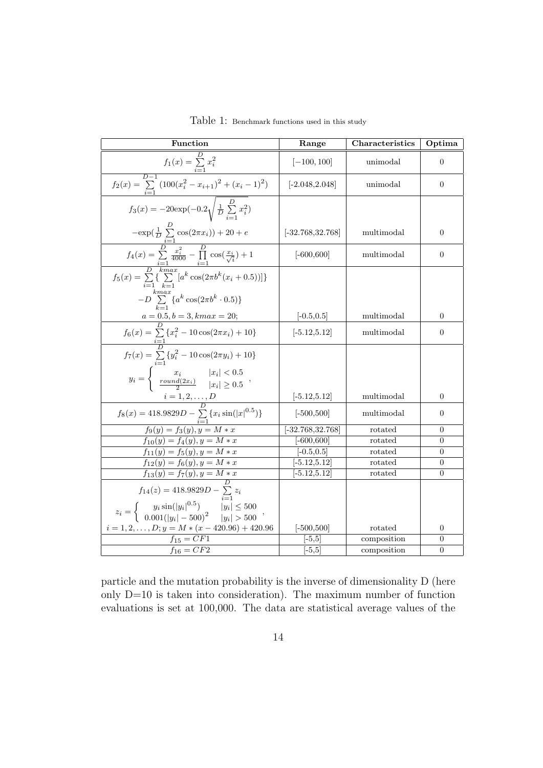| Function                                                                                                                                                      | Range               | Characteristics | Optima           |
|---------------------------------------------------------------------------------------------------------------------------------------------------------------|---------------------|-----------------|------------------|
| $f_1(x) = \sum_{i=1}^{D} x_i^2$                                                                                                                               | $[-100, 100]$       | unimodal        | $\boldsymbol{0}$ |
| $f_2(x) = \sum_{i=1}^{D-1} (100(x_i^2 - x_{i+1})^2 + (x_i - 1)^2)$                                                                                            | $[-2.048, 2.048]$   | unimodal        | $\theta$         |
| $f_3(x) = -20 \exp(-0.2 \sqrt{\frac{1}{D} \sum_{i=1}^{D} x_i^2})$                                                                                             |                     |                 |                  |
| $-\exp(\frac{1}{D}\sum_{i=1}^{D}\cos(2\pi x_i))+20+e$                                                                                                         | $[-32.768, 32.768]$ | multimodal      | $\theta$         |
| $f_4(x) = \sum_{i=1}^{D} \frac{x_i^2}{4000} - \prod_{i=1}^{D} \cos(\frac{x_i}{\sqrt{i}}) + 1$                                                                 | $[-600, 600]$       | multimodal      | $\theta$         |
| $f_5(x) = \sum_{i=1}^{D} \left\{ \sum_{k=1}^{max} [a^k \cos(2\pi b^k (x_i + 0.5))] \right\}$<br>$-D\sum_{k=1}^{n\max} \{a^k \cos(2\pi b^k \cdot 0.5)\}$       |                     |                 |                  |
| $a = 0.5, b = 3, kmax = 20;$                                                                                                                                  | $[-0.5, 0.5]$       | multimodal      | $\theta$         |
| $f_6(x) = \sum_{i=1}^{D} \{x_i^2 - 10\cos(2\pi x_i) + 10\}$                                                                                                   | $[-5.12, 5.12]$     | multimodal      | $\theta$         |
| $f_7(x) = \sum_{i=1}^{D} \{y_i^2 - 10 \cos(2\pi y_i) + 10\}$<br>$y_i = \begin{cases} x_i &  x_i  < 0.5 \\ \frac{round(2x_i)}{2} &  x_i  \geq 0.5 \end{cases}$ |                     |                 |                  |
|                                                                                                                                                               | $[-5.12, 5.12]$     | multimodal      | $\boldsymbol{0}$ |
| $i = 1, 2, , D$<br>$f_8(x) = 418.9829D - \sum_{i=1}^{D} \{x_i \sin( x ^{0.5})\}$                                                                              | $[-500, 500]$       | multimodal      | $\theta$         |
| $f_9(y) = f_3(y), y = M * x$                                                                                                                                  | [-32.768,32.768]    | rotated         | $\mathbf{0}$     |
| $f_{10}(y) = f_4(y), y = M * x$                                                                                                                               | $[-600, 600]$       | rotated         | $\overline{0}$   |
| $f_{11}(y) = f_5(y), y = M * x$                                                                                                                               | $[-0.5, 0.5]$       | rotated         | $\theta$         |
| $f_{12}(y) = f_6(y), y = M * x$                                                                                                                               | $[-5.12, 5.12]$     | rotated         | $\overline{0}$   |
| $\overline{f_{13}(y)} = f_7(y), y = M * x$                                                                                                                    | $[-5.12, 5.12]$     | rotated         | $\theta$         |
| $f_{14}(z) = 418.9829D - \sum_{i=1}^{6} z_i$<br>$z_i = \begin{cases} y_i \sin( y_i ^{0.5}) &  y_i  \le 500 \\ 0.001( y_i  - 500)^2 &  y_i  > 500 \end{cases}$ |                     |                 |                  |
| $i = 1, 2, \ldots, D; y = M * (x - 420.96) + 420.96$                                                                                                          | $[-500, 500]$       | rotated         | $\boldsymbol{0}$ |
| $f_{15} = CF1$                                                                                                                                                | $[-5,5]$            | composition     | $\overline{0}$   |
| $f_{16}$ = $CF2$                                                                                                                                              | $[-5,5]$            | composition     | $\overline{0}$   |

Table 1: Benchmark functions used in this study

particle and the mutation probability is the inverse of dimensionality D (here only D=10 is taken into consideration). The maximum number of function evaluations is set at 100,000. The data are statistical average values of the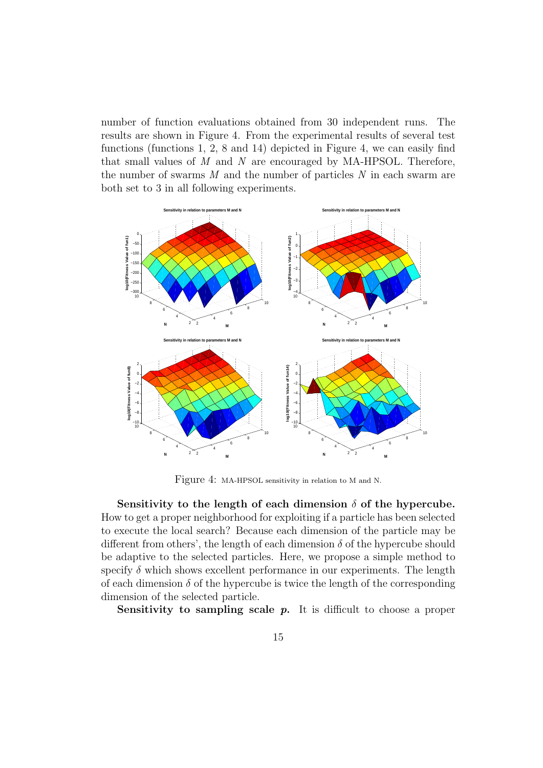number of function evaluations obtained from 30 independent runs. The results are shown in Figure 4. From the experimental results of several test functions (functions 1, 2, 8 and 14) depicted in Figure 4, we can easily find that small values of *M* and *N* are encouraged by MA-HPSOL. Therefore, the number of swarms *M* and the number of particles *N* in each swarm are both set to 3 in all following experiments.



Figure 4: MA-HPSOL sensitivity in relation to M and N.

Sensitivity to the length of each dimension  $\delta$  of the hypercube. How to get a proper neighborhood for exploiting if a particle has been selected to execute the local search? Because each dimension of the particle may be different from others', the length of each dimension  $\delta$  of the hypercube should be adaptive to the selected particles. Here, we propose a simple method to specify  $\delta$  which shows excellent performance in our experiments. The length of each dimension  $\delta$  of the hypercube is twice the length of the corresponding dimension of the selected particle.

**Sensitivity to sampling scale** *p***.** It is difficult to choose a proper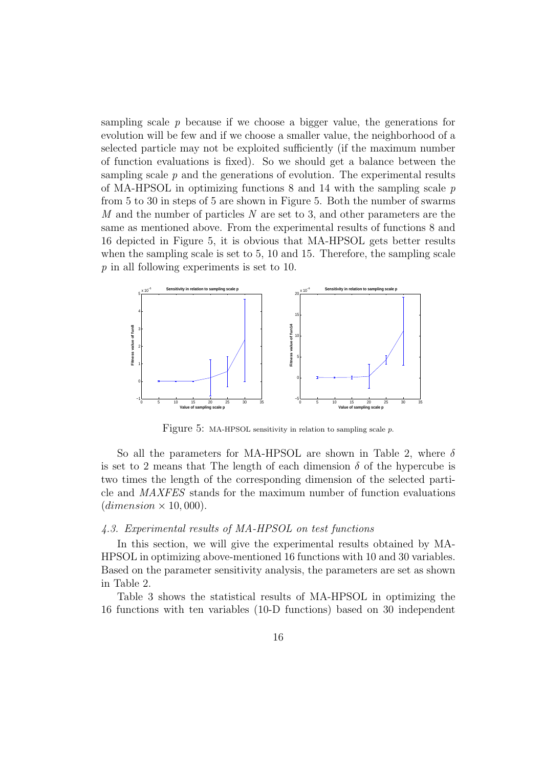sampling scale *p* because if we choose a bigger value, the generations for evolution will be few and if we choose a smaller value, the neighborhood of a selected particle may not be exploited sufficiently (if the maximum number of function evaluations is fixed). So we should get a balance between the sampling scale p and the generations of evolution. The experimental results of MA-HPSOL in optimizing functions 8 and 14 with the sampling scale *p* from 5 to 30 in steps of 5 are shown in Figure 5. Both the number of swarms *M* and the number of particles *N* are set to 3, and other parameters are the same as mentioned above. From the experimental results of functions 8 and 16 depicted in Figure 5, it is obvious that MA-HPSOL gets better results when the sampling scale is set to 5, 10 and 15. Therefore, the sampling scale *p* in all following experiments is set to 10.



Figure 5: MA-HPSOL sensitivity in relation to sampling scale *<sup>p</sup>*.

So all the parameters for MA-HPSOL are shown in Table 2, where *δ* is set to 2 means that The length of each dimension  $\delta$  of the hypercube is two times the length of the corresponding dimension of the selected particle and *MAXFES* stands for the maximum number of function evaluations  $(dimension \times 10,000)$ .

## *4.3. Experimental results of MA-HPSOL on test functions*

In this section, we will give the experimental results obtained by MA-HPSOL in optimizing above-mentioned 16 functions with 10 and 30 variables. Based on the parameter sensitivity analysis, the parameters are set as shown in Table 2.

Table 3 shows the statistical results of MA-HPSOL in optimizing the 16 functions with ten variables (10-D functions) based on 30 independent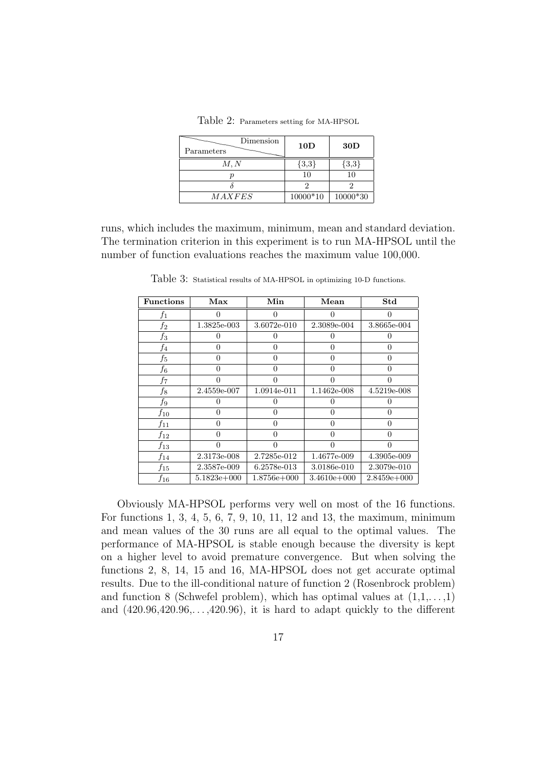Table 2: Parameters setting for MA-HPSOL

| Dimension<br>Parameters | 10D      | 30D      |
|-------------------------|----------|----------|
| M,N                     | ${3,3}$  | ${3.3}$  |
|                         | 10       | 10       |
|                         |          |          |
| <i>MAXFES</i>           | 10000*10 | 10000*30 |

runs, which includes the maximum, minimum, mean and standard deviation. The termination criterion in this experiment is to run MA-HPSOL until the number of function evaluations reaches the maximum value 100,000.

| <b>Functions</b> | Max           | Min           | $\bold{Mean}$   | $_{\rm Std}$  |  |  |  |
|------------------|---------------|---------------|-----------------|---------------|--|--|--|
| $f_1$            | 0             | ∩             | 0               |               |  |  |  |
| $f_2$            | 1.3825e-003   | 3.6072e-010   | 2.3089e-004     | 3.8665e-004   |  |  |  |
| $f_3$            | 0             | 0             | $\mathbf{0}$    | 0             |  |  |  |
| $f_{4}$          | $\Omega$      | $\Omega$      | $\theta$        | $\Omega$      |  |  |  |
| $f_5$            | 0             | 0             | 0               | 0             |  |  |  |
| f6               | 0             | $\Omega$      | 0               | 0             |  |  |  |
| f7               | 0             | 0             | 0               | $\mathbf{0}$  |  |  |  |
| $f_8$            | 2.4559e-007   | 1.0914e-011   | 1.1462e-008     | 4.5219e-008   |  |  |  |
| f9               | 0             | 0             | 0               |               |  |  |  |
| $f_{10}$         | $\Omega$      | $\Omega$      | $\theta$        | 0             |  |  |  |
| $f_{11}$         | 0             | $\Omega$      | 0               | 0             |  |  |  |
| $f_{12}$         | $\Omega$      | $\theta$      | 0               | 0             |  |  |  |
| $f_{13}$         | $\Omega$      | $\Omega$      | $\Omega$        | 0             |  |  |  |
| $f_{14}$         | 2.3173e-008   | 2.7285e-012   | 1.4677e-009     | 4.3905e-009   |  |  |  |
| $f_{15}$         | 2.3587e-009   | 6.2578e-013   | 3.0186e-010     | 2.3079e-010   |  |  |  |
| $f_{16}$         | $5.1823e+000$ | $1.8756e+000$ | $3.4610e + 000$ | $2.8459e+000$ |  |  |  |

Table 3: Statistical results of MA-HPSOL in optimizing 10-D functions.

Obviously MA-HPSOL performs very well on most of the 16 functions. For functions 1, 3, 4, 5, 6, 7, 9, 10, 11, 12 and 13, the maximum, minimum and mean values of the 30 runs are all equal to the optimal values. The performance of MA-HPSOL is stable enough because the diversity is kept on a higher level to avoid premature convergence. But when solving the functions 2, 8, 14, 15 and 16, MA-HPSOL does not get accurate optimal results. Due to the ill-conditional nature of function 2 (Rosenbrock problem) and function 8 (Schwefel problem), which has optimal values at  $(1,1,\ldots,1)$ and  $(420.96, 420.96, \ldots, 420.96)$ , it is hard to adapt quickly to the different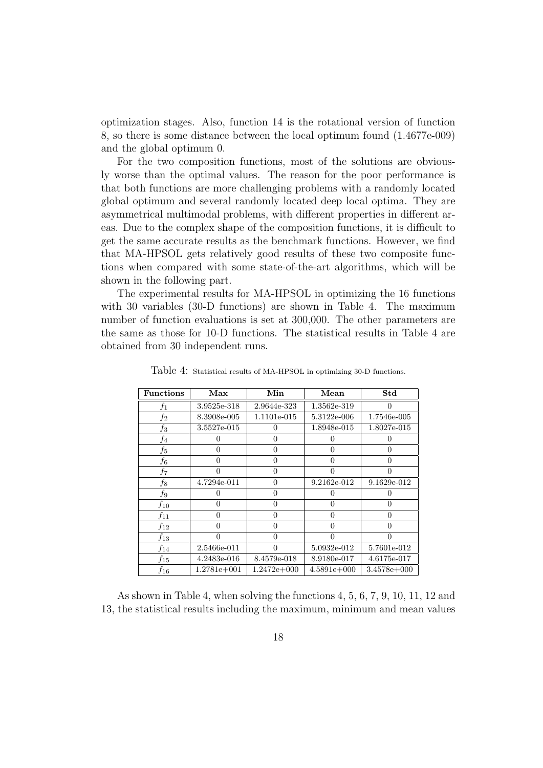optimization stages. Also, function 14 is the rotational version of function 8, so there is some distance between the local optimum found (1.4677e-009) and the global optimum 0.

For the two composition functions, most of the solutions are obviously worse than the optimal values. The reason for the poor performance is that both functions are more challenging problems with a randomly located global optimum and several randomly located deep local optima. They are asymmetrical multimodal problems, with different properties in different areas. Due to the complex shape of the composition functions, it is difficult to get the same accurate results as the benchmark functions. However, we find that MA-HPSOL gets relatively good results of these two composite functions when compared with some state-of-the-art algorithms, which will be shown in the following part.

The experimental results for MA-HPSOL in optimizing the 16 functions with 30 variables (30-D functions) are shown in Table 4. The maximum number of function evaluations is set at 300,000. The other parameters are the same as those for 10-D functions. The statistical results in Table 4 are obtained from 30 independent runs.

| Functions   | Max             | Min           | Mean          | $_{\rm Std}$    |  |  |  |
|-------------|-----------------|---------------|---------------|-----------------|--|--|--|
| $f_1$       | 3.9525e-318     | 2.9644e-323   | 1.3562e-319   |                 |  |  |  |
| $f_2$       | 8.3908e-005     | 1.1101e-015   | 5.3122e-006   | 1.7546e-005     |  |  |  |
| $f_3$       | 3.5527e-015     | $\Omega$      | 1.8948e-015   | 1.8027e-015     |  |  |  |
| $f_{4}$     | $\mathbf{0}$    | $\Omega$      | $\theta$      |                 |  |  |  |
| $f_{\rm 5}$ | 0               | 0             | 0             |                 |  |  |  |
| Ĵб          | 0               | $\Omega$      | $\theta$      | 0               |  |  |  |
| f7          | 0               | $\Omega$      | $\Omega$      |                 |  |  |  |
| $f_8$       | 4.7294e-011     | $\Omega$      | 9.2162e-012   | 9.1629e-012     |  |  |  |
| f9          | 0               | $\Omega$      | 0             |                 |  |  |  |
| $f_{10}$    | $\Omega$        | $\Omega$      | $\Omega$      | 0               |  |  |  |
| $f_{11}$    | $\Omega$        | $\Omega$      | $\Omega$      | 0               |  |  |  |
| $f_{12}$    | $\Omega$        | $\theta$      | $\theta$      | 0               |  |  |  |
| $f_{13}$    | $\Omega$        | $\Omega$      | $\Omega$      | 0               |  |  |  |
| $f_{14}$    | 2.5466e-011     | 0             | 5.0932e-012   | 5.7601e-012     |  |  |  |
| $f_{15}$    | 4.2483e-016     | 8.4579e-018   | 8.9180e-017   | 4.6175e-017     |  |  |  |
| $f_{16}$    | $1.2781e + 001$ | $1.2472e+000$ | $4.5891e+000$ | $3.4578e + 000$ |  |  |  |

Table 4: Statistical results of MA-HPSOL in optimizing 30-D functions.

As shown in Table 4, when solving the functions 4, 5, 6, 7, 9, 10, 11, 12 and 13, the statistical results including the maximum, minimum and mean values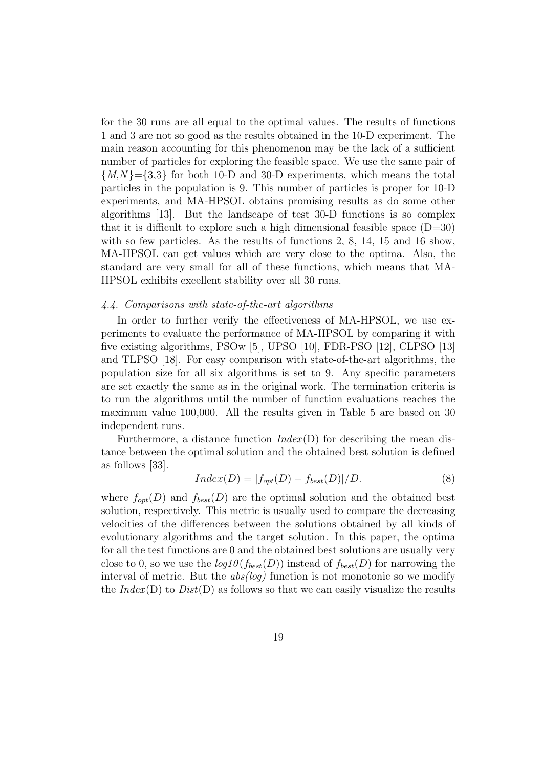for the 30 runs are all equal to the optimal values. The results of functions 1 and 3 are not so good as the results obtained in the 10-D experiment. The main reason accounting for this phenomenon may be the lack of a sufficient number of particles for exploring the feasible space. We use the same pair of  ${M,N}$  = {3,3} for both 10-D and 30-D experiments, which means the total particles in the population is 9. This number of particles is proper for 10-D experiments, and MA-HPSOL obtains promising results as do some other algorithms [13]. But the landscape of test 30-D functions is so complex that it is difficult to explore such a high dimensional feasible space  $(D=30)$ with so few particles. As the results of functions 2, 8, 14, 15 and 16 show, MA-HPSOL can get values which are very close to the optima. Also, the standard are very small for all of these functions, which means that MA-HPSOL exhibits excellent stability over all 30 runs.

## *4.4. Comparisons with state-of-the-art algorithms*

In order to further verify the effectiveness of MA-HPSOL, we use experiments to evaluate the performance of MA-HPSOL by comparing it with five existing algorithms, PSOw [5], UPSO [10], FDR-PSO [12], CLPSO [13] and TLPSO [18]. For easy comparison with state-of-the-art algorithms, the population size for all six algorithms is set to 9. Any specific parameters are set exactly the same as in the original work. The termination criteria is to run the algorithms until the number of function evaluations reaches the maximum value 100,000. All the results given in Table 5 are based on 30 independent runs.

Furthermore, a distance function *Index* (D) for describing the mean distance between the optimal solution and the obtained best solution is defined as follows [33].

$$
Index(D) = |f_{opt}(D) - f_{best}(D)|/D.
$$
\n(8)

where  $f_{opt}(D)$  and  $f_{best}(D)$  are the optimal solution and the obtained best solution, respectively. This metric is usually used to compare the decreasing velocities of the differences between the solutions obtained by all kinds of evolutionary algorithms and the target solution. In this paper, the optima for all the test functions are 0 and the obtained best solutions are usually very close to 0, so we use the  $log10(f_{best}(D))$  instead of  $f_{best}(D)$  for narrowing the interval of metric. But the *abs(log)* function is not monotonic so we modify the *Index* (D) to *Dist*(D) as follows so that we can easily visualize the results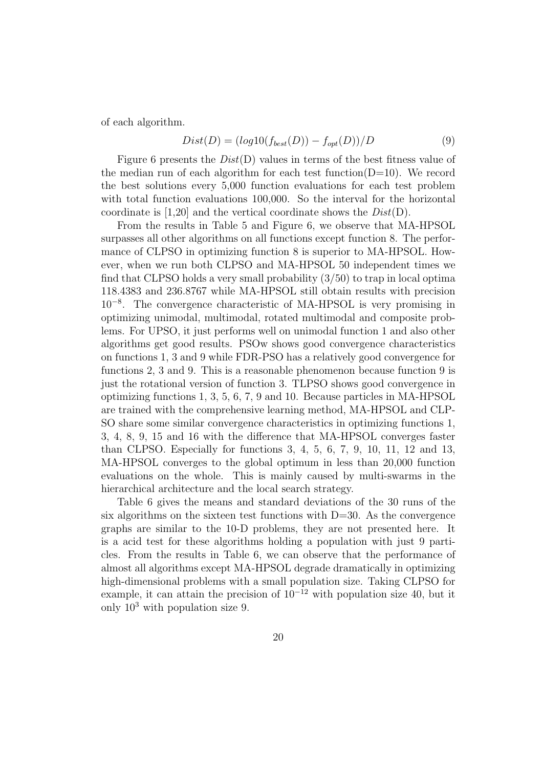of each algorithm.

$$
Dist(D) = (log10(f_{best}(D)) - f_{opt}(D))/D
$$
\n(9)

Figure 6 presents the *Dist*(D) values in terms of the best fitness value of the median run of each algorithm for each test function( $D=10$ ). We record the best solutions every 5,000 function evaluations for each test problem with total function evaluations 100,000. So the interval for the horizontal coordinate is [1,20] and the vertical coordinate shows the *Dist*(D).

From the results in Table 5 and Figure 6, we observe that MA-HPSOL surpasses all other algorithms on all functions except function 8. The performance of CLPSO in optimizing function 8 is superior to MA-HPSOL. However, when we run both CLPSO and MA-HPSOL 50 independent times we find that CLPSO holds a very small probability (3/50) to trap in local optima 118.4383 and 236.8767 while MA-HPSOL still obtain results with precision 10*−*<sup>8</sup> . The convergence characteristic of MA-HPSOL is very promising in optimizing unimodal, multimodal, rotated multimodal and composite problems. For UPSO, it just performs well on unimodal function 1 and also other algorithms get good results. PSOw shows good convergence characteristics on functions 1, 3 and 9 while FDR-PSO has a relatively good convergence for functions 2, 3 and 9. This is a reasonable phenomenon because function 9 is just the rotational version of function 3. TLPSO shows good convergence in optimizing functions 1, 3, 5, 6, 7, 9 and 10. Because particles in MA-HPSOL are trained with the comprehensive learning method, MA-HPSOL and CLP-SO share some similar convergence characteristics in optimizing functions 1, 3, 4, 8, 9, 15 and 16 with the difference that MA-HPSOL converges faster than CLPSO. Especially for functions 3, 4, 5, 6, 7, 9, 10, 11, 12 and 13, MA-HPSOL converges to the global optimum in less than 20,000 function evaluations on the whole. This is mainly caused by multi-swarms in the hierarchical architecture and the local search strategy.

Table 6 gives the means and standard deviations of the 30 runs of the six algorithms on the sixteen test functions with  $D=30$ . As the convergence graphs are similar to the 10-D problems, they are not presented here. It is a acid test for these algorithms holding a population with just 9 particles. From the results in Table 6, we can observe that the performance of almost all algorithms except MA-HPSOL degrade dramatically in optimizing high-dimensional problems with a small population size. Taking CLPSO for example, it can attain the precision of 10*−*<sup>12</sup> with population size 40, but it only 10<sup>3</sup> with population size 9.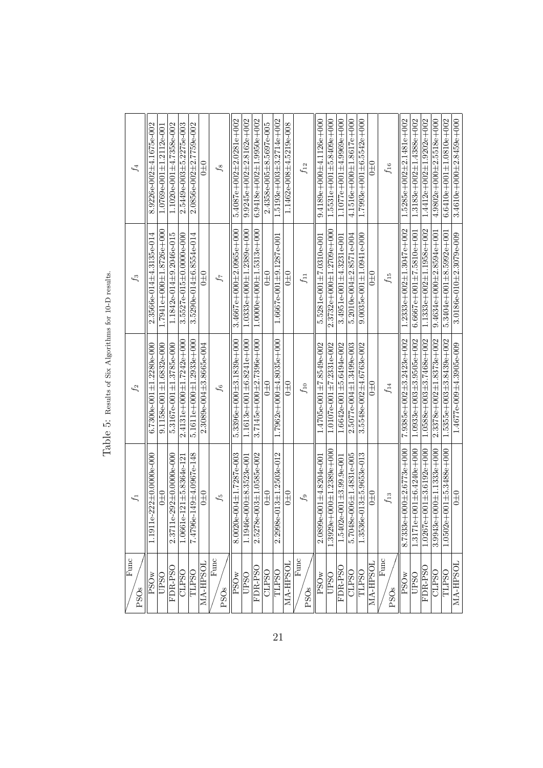| $f_4$                    | 8.9226e-002 $\pm$ 4.1675e-002     | $1.0769e-001 \pm 1.2112e-001$ | $1.1020e-001 \pm 4.7358e-002$   | $2.5449e-003\pm5.2275e-003$       | $2.0856e-002 \pm 2.7759e-002$    | $0\pm0$                     | Lø                  | $5.4087e+002\pm2.0281e+002$   | $9.9245e+002\pm2.8162e+002$          | $6.9418e + 02 \pm 1.9950e + 02$ | $2.4358e-005 \pm 8.5697e-005$ | $1.5193e+003\pm3.2714e+002$    | $1.1462e-008\pm4.5219e-008$ | $f_{12}$                 | $9.4189e + 000 + 126e + 000$  | $1.5531e+001\pm5.8409e+000$        | $1.1077e+4.9969e+000$           | $4.1516e+000+1.8617e+00$      | $1.7993e+001\pm6.5542e+000$   | $_{0\pm0}^{\odot}$ | $f_{16}$                 | $1.5285e+002\pm2.1481e+002$   | $1.3183e+002 \pm 1.4388e+002$    | $1.4412e+002+02e+002$       | $4.9802e+000+2.5518e+000$             | $6.6410e+0.1810e+0.02$           | $3.4610e + 000 \pm 2.8459e + 000$ |
|--------------------------|-----------------------------------|-------------------------------|---------------------------------|-----------------------------------|----------------------------------|-----------------------------|---------------------|-------------------------------|--------------------------------------|---------------------------------|-------------------------------|--------------------------------|-----------------------------|--------------------------|-------------------------------|------------------------------------|---------------------------------|-------------------------------|-------------------------------|--------------------|--------------------------|-------------------------------|----------------------------------|-----------------------------|---------------------------------------|----------------------------------|-----------------------------------|
| $f_3$                    | $2.3566e-014\pm4.3135e-014$       | $1.79418.1 + 0.00 + 0.726$    | $1.1842e-014 \pm 9.2046e-015$   | $3.5527e-015 \pm 0.0000e-000$     | $3.5290e-014\pm 6.8554e-014$     | $_{0\pm 0}$                 | $f_7$               | $3.4667e+000+2.0965e+000$     | $1.033332 + 1.23389 + 0.000 + 0.000$ | $1.5313e+000e+00001$            | $_{\pm0}^{0}$                 | $1.6667e-001\pm9.1287e-001$    | $0 \pm 0$                   | $f_{11}$                 | 5.5281e-001±7.0310e-001       | $2.3732$ e $+000\pm1.2709$ e $+00$ | $3.4951e-001\pm4.3231e-001$     | $5.2010e-004\pm2.8571e-004$   | $0.0035e-001 \pm 1.0941e-000$ | $_{\pm0}^{0}$      | $f_{15}$                 | $1.2333e+002 \pm 1.3047e+002$ | $6.6667e+001 \pm 7.5810e+01$     | $1.1333e+002\pm1.1958e+002$ | $9.4634e+000+2.8594e+001$             | $5.3404e+001\pm8.5992e+01$       | $3.0186e-010 \pm 2.3079e-009$     |
| $f_2$                    | $6.7300e-001 \pm 1.2280e-000$     | $9.1158e-001 \pm 1.6832e-000$ | $5.3167e-001 \pm 1.3785e-000$   | $2.4131e+000+1.7242e+00$          | $5.1611$ e $+000$ ±1.2933e $+00$ | $2.3089e-004\pm3.8665e-004$ | L6                  | $5.3396e+000\pm3.1839e+000$   | $1.1613$ e $+0.8241$ e $+0.00$       | $3.7145e + 000 + 2.7396e + 000$ | $_{0\pm 0}$                   | $1.7962 + 000 + 3035$ e $+000$ | $0 + 0$                     | $f_{10}$                 | 1.4705e-001±7.8549e-002       | $1.0107e-001 \pm 7.2331e-002$      | $1.6642e-001\pm5.6494e-002$     | $2.5077e-004 \pm 1.3499e-003$ | $3.5548e-002 \pm 4.6763e-002$ | $0 \pm 0$          | $f_{14}$                 | $7.9385e+002\pm3.2423e+002$   | $1.0933$ e+003 $\pm$ 3.9505e+002 | $1.0588e+003\pm3.7468e+002$ | $2.3378e+002 \pm 1.8373e+002$         | $1.5355e+003\pm3.8439e+002$      | $1.4677e-009\pm4.3905e-009$       |
| $f_1$                    | $e-222 \pm 0.0000e-000$<br>1.1911 | $_{0\pm0}$                    | $e-292\pm0.0000e-000$<br>2.3711 | $e-121 \pm 5.8364e-121$<br>1.0661 | 7.4796e-149 $\pm$ 4.0967e-148    | $0 \pm 0$                   | $f_5$               | $8.0020e-004 \pm 1.7287e-003$ | $1.1946 - 000 \pm 8.3523 - 001$      | $2.5278e-003 \pm 1.0585e-002$   | $_{0\pm0}$                    | $2.2998e-013 \pm 1.2503e-012$  | $0 \pm 0$                   | $f_9$                    | $2.0899e-001 \pm 4.8204e-001$ | $1.3929e+000+1.2389e+00$           | $e-001\pm3.99.9e-001$<br>1.5402 | 5.7048e-006±1.4831e-005       | $1.3536e-013\pm5.9653e-013$   | $0 \pm 0$          | $f_{13}$                 | $8.7333e+000+2.6773e+00$      | $1.3171e+0.4240e+0.0$            | $1.0267e+001\pm3.6192e+00$  | $3.9943$ e $+000 \pm 1.1333$ e $+000$ | $+001 + 5.3488 + 000$<br>1.0502e | $\frac{1}{2}$                     |
| Func<br>PS <sub>Os</sub> | PSO <sub>w</sub>                  | <b>UPSO</b>                   | FDR-PSC                         | CLPSO                             | <b>TLPSO</b>                     | MA-HPSOL                    | Func<br><b>PSOs</b> | <b>PSOw</b>                   | <b>UPSO</b>                          | FDR-PSC                         | CLPSC                         | <b>TLPSO</b>                   | MA-HPSOL                    | Func<br>PS <sub>Os</sub> | PSO <sub>w</sub>              | <b>UPSO</b>                        | FDR-PSC                         | <b>CLPSO</b>                  | TLPSO                         | MA-HPSOL           | Func<br>PSO <sub>s</sub> | PSO <sub>w</sub>              | OSd <sub>1</sub>                 | FDR-PSO                     | CLPSO                                 | <b>TLPSO</b>                     | MA-HPSOL                          |

Table 5: Results of Six Algorithms for 10-D results. Table 5: Results of Six Algorithms for 10-D results.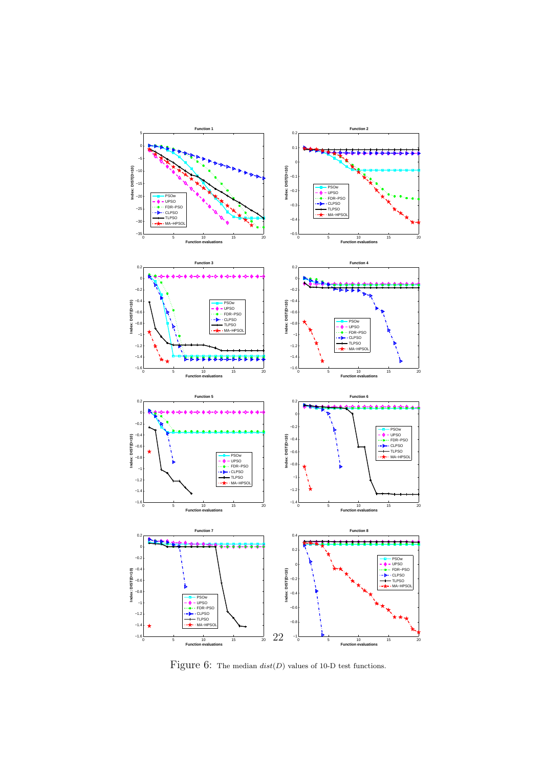

Figure 6: The median  $\mathit{dist}(D)$  values of 10-D test functions.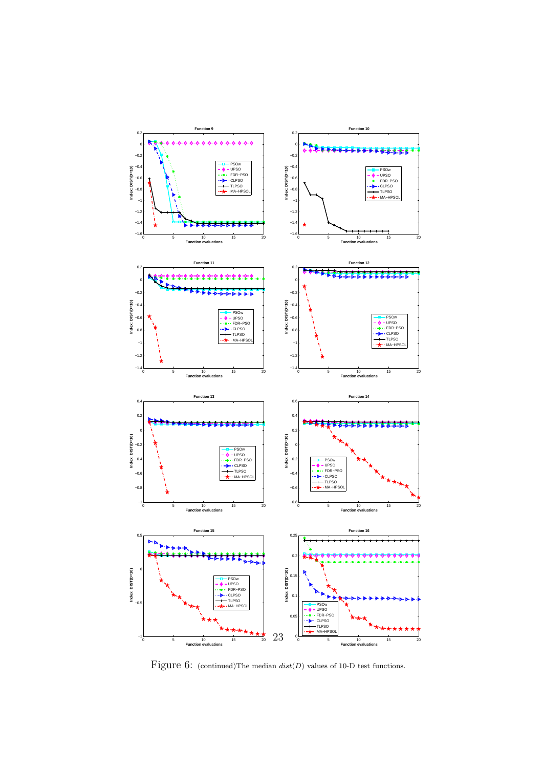

Figure 6: (continued)The median  $\mathit{dist}(D)$  values of 10-D test functions.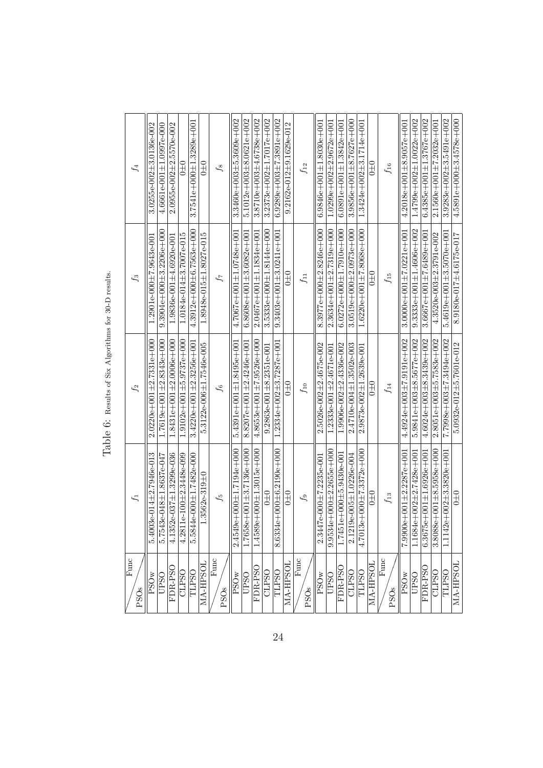| $f_4$                    | $3.0255e-002\pm3.0136e-002$   | $4.6661e-001 \pm 1.0997e-000$     | $2.0955e-002 \pm 2.5570e-002$           | $^{0+0}$                      | $3.7541e+000+1.3289e+01$           | $_{0\pm 0}$                   | Lø                  | $3.3460e+003\pm5.3609e+002$             | $5.1012$ e $+003$ $\pm 8.0621$ e $+002$ | $3.8710e+003\pm4.6738e+002$      | $3.2373$ e $+002 \pm 1.7017$ e $+002$ | $6.92891e + 2.3891e + 0.02$             | $9.2162e-012 \pm 9.1629e-012$ | $f_{12}$                 | $6.9846e+001\pm1.8030e+001$     | $1.0299e+022.9672e+001$                 | $6.0891e+001\pm1.3842e+001$      | $3.9856e + 01 \pm 8.7627e + 000$ | $1.3424e+002\pm3.1714e+001$   | $_{0\pm0}$    | $f_{16}$                 | $4.2018$ e $+$ 0105.3057e $+$ 001 | $1.4799e+0221.0022e+032$          | $6.4385e+001\pm1.3767e+002$       | $2.1560e+001 \pm 7.2032e+001$   | $3.9283e+002\pm3.5491e+002$           | $4.5891e+000+3.4578e+00$      |
|--------------------------|-------------------------------|-----------------------------------|-----------------------------------------|-------------------------------|------------------------------------|-------------------------------|---------------------|-----------------------------------------|-----------------------------------------|----------------------------------|---------------------------------------|-----------------------------------------|-------------------------------|--------------------------|---------------------------------|-----------------------------------------|----------------------------------|----------------------------------|-------------------------------|---------------|--------------------------|-----------------------------------|-----------------------------------|-----------------------------------|---------------------------------|---------------------------------------|-------------------------------|
| $f_3$                    | $1.2901e-000 \pm 7.9643e-001$ | $9.3904 + 3.2206 + 0.000 + 0.000$ | $1.9836e-001\pm4.6920e-001$             | $1.0184e-014\pm 3.7007e-015$  | $4.3912$ e $+0.00617563$ e $+0.00$ | $1.8948e-015 \pm 1.8027e-015$ | f                   | $4.7067$ e $+001$ $\pm 1.0748$ e $+001$ | $6.8608e + 001123.6082e + 01$           | $2.0467e+001 \pm 1.1834e+01$     | $3.5333e+000+1.8144e+00$              | $9.3403$ e $+001$ $\pm 3.0241$ e $+001$ | $0 + 0$                       | $f_{11}$                 | $8.3977e + 000 + 2.8246e + 00$  | $2.3634$ e $+001$ $\pm 2.7319$ e $+000$ | $6.0272$ e $+000+1.7910$ e $+00$ | $3.0519e + 000 + 2.0973e + 000$  | $1.6220e + 0.8068e + 0.000$   | $_{\pm0}^{0}$ | $f_{15}$                 |                                   | $9.3333e + 0.114606e + 0.2$       | $3.6667e+001 \pm 7.6489e+01$      | $4.3520e-003 \pm 2.3791e-002$   | $5.4619$ e $+001\pm3.5070$ e $+001$   | 8.9180e-017±4.6175e-017       |
| $f_2$                    | $2.0220e+001\pm2.7331e+00$    | $1.7619$ e $+2.8343$ e $+000$     | $1.8431$ e $+0.01 \pm 2.000$ 6e $+0.00$ | $1.9102e+001\pm5.9737e+000$   | $3.4220e+001\pm2.3256e+001$        | $5.3122e-006 \pm 1.7546e-005$ | L6                  | $5.4391e+001\pm1.8495e+001$             | $8.8207$ e $+001 \pm 2.4246$ e $+001$   | $4.8653$ e $+001$ ±7.9526e $+00$ | $9.2863e-001\pm8.2351e-001$           | $1.2334e+002\pm3.7287e+001$             | $0 \pm 0$                     | $f_{10}$                 | $2.5026e-002 \pm 2.4675e-002$   | $1.2333e-001\pm2.4671e-001$             | $1.9906e-002 \pm 2.4336e-002$    | $2.4710e-004 \pm 1.3502e-003$    | $2.9873e-002 \pm 1.2639e-001$ | $_{0\pm0}$    | $f_{14}$                 | $4.4924e+003 \pm 7.9191e+002$     | $5.9841e + 0.3 + 8.5677e + 0.02$  | $4.6024$ e $+003$ ±8.3439e $+002$ | $2.8051e+003\pm5.7583e+002$     | $7.7998e+003 \pm 7.3494e+002$         | $5.0932e-012 \pm 5.7601e-012$ |
| $f_1$                    | $5.4003e-014 \pm 2.7946e-013$ | $5.7543e-048\pm1.8637e-047$       | $4.1352e-037 \pm 1.3299e-036$           | $e-100+2.3448e-099$<br>4.2811 | $5.5844e-000 \pm 1.7482e-000$      | $.3562e-319\pm0$              | fs                  | $+000 + 1.7194 + 000$<br>2.4549e        | $1.7658e+001\pm3.7136e+000$             | $+000+50150+000$<br>1.4589e      | $_{\pm0}^{\odot}$                     | $8.6334e+000+0.2190e+00$                | $0 \pm 0$                     | $f_9$                    | $-000 + 7.2235 - 001$<br>2.3447 | $9.9534e+000 \pm 2.2655e+000$           | $e+000+5.9430e-001$<br>1.7451    | 2.1219e-005±1.0226e-004          | $+000 + 2372$<br>4.70136      | $0 \pm 0$     | $f_{13}$                 | $7.9900e+001 \pm 2.2287e+01$      | $1.1684e + 002 \pm 2.7428e + 001$ | $6.3675e + 001 \pm 1.6926e + 01$  | $3.8088e + 001 + 8.5958e + 000$ | $+002 \pm 3.3820$ e $+001$<br>1.1142e | $_{0\pm0}$                    |
| Func<br>PSO <sub>s</sub> | PSO <sub>w</sub>              | <b>UPSO</b>                       | FDR-PSC                                 | <b>CLPSO</b>                  | <b>TLPSO</b>                       | MA-HPSOL                      | Func<br><b>PSOs</b> | <b>PSOw</b>                             | <b>OSdD</b>                             | FDR-PSO                          | CLPSC                                 | <b>TLPSO</b>                            | MA-HPSOL                      | Func<br>PS <sub>Os</sub> | PSO <sub>w</sub>                | <b>UPSO</b>                             | FDR-PSC                          | <b>CLPSO</b>                     | <b>TLPSO</b>                  | MA-HPSOL      | Func<br>PSO <sub>s</sub> | PSO <sub>w</sub>                  | OSd <sub>1</sub>                  | FDR-PSO                           | <b>CLPSO</b>                    | <b>TLPSO</b>                          | MA-HPSOL                      |

| I<br>Ï<br>l                                                              |
|--------------------------------------------------------------------------|
| i<br>֧֦֧֦֦֦֦֦֦֦֦֦֦֦֦֦֦֦֧֦֦֦֦֧֦֧֦֧֦֧ׅ֧֦֧֧֦֧֦֧֚֚֚֚֚֚֚֚֚֚֚֚֚֝֝֝֬֝֝֝֝֝֝֝֝֝֜֓ |
| l<br>֖֖֖֖֖֖֖֖֧֚֚֚֚֚֚֚֚֚֚֚֚֚֚֚֚֚֚֚֚֚֚֚֚֚֚֚֚֬֝֓֞                           |
| l<br>ļ<br>֠                                                              |
| l                                                                        |
| Ś<br>¢                                                                   |
| j                                                                        |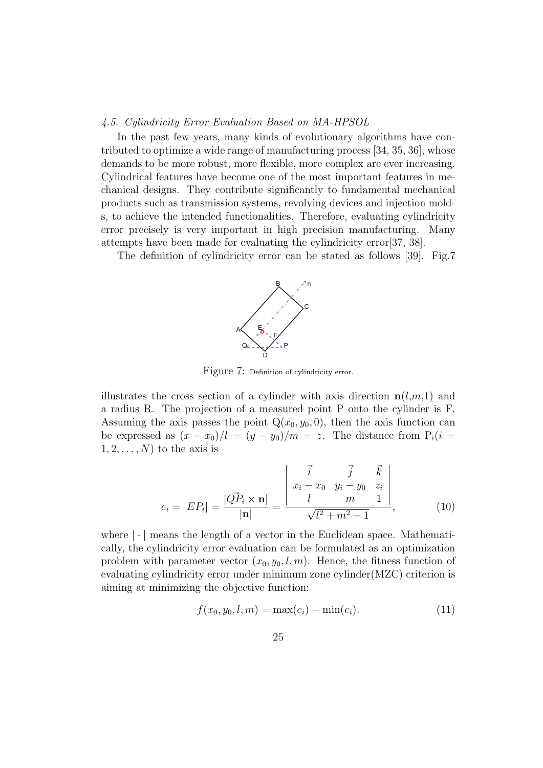## *4.5. Cylindricity Error Evaluation Based on MA-HPSOL*

In the past few years, many kinds of evolutionary algorithms have contributed to optimize a wide range of manufacturing process [34, 35, 36], whose demands to be more robust, more flexible, more complex are ever increasing. Cylindrical features have become one of the most important features in mechanical designs. They contribute significantly to fundamental mechanical products such as transmission systems, revolving devices and injection molds, to achieve the intended functionalities. Therefore, evaluating cylindricity error precisely is very important in high precision manufacturing. Many attempts have been made for evaluating the cylindricity error[37, 38].

The definition of cylindricity error can be stated as follows [39]. Fig.7



Figure 7: Definition of cylindricity error.

illustrates the cross section of a cylinder with axis direction  $\mathbf{n}(l,m,1)$  and a radius R. The projection of a measured point P onto the cylinder is F. Assuming the axis passes the point  $Q(x_0, y_0, 0)$ , then the axis function can be expressed as  $(x - x_0)/l = (y - y_0)/m = z$ . The distance from P<sub>i</sub>(*i* =  $1, 2, \ldots, N$  to the axis is

$$
e_i = |EP_i| = \frac{|Q\vec{P}_i \times \mathbf{n}|}{|\mathbf{n}|} = \frac{\begin{vmatrix} \vec{i} & \vec{j} & \vec{k} \\ x_i - x_0 & y_i - y_0 & z_i \\ l & m & 1 \end{vmatrix}}{\sqrt{l^2 + m^2 + 1}},
$$
(10)

where  $|\cdot|$  means the length of a vector in the Euclidean space. Mathematically, the cylindricity error evaluation can be formulated as an optimization problem with parameter vector  $(x_0, y_0, l, m)$ . Hence, the fitness function of evaluating cylindricity error under minimum zone cylinder(MZC) criterion is aiming at minimizing the objective function:

$$
f(x_0, y_0, l, m) = \max(e_i) - \min(e_i). \tag{11}
$$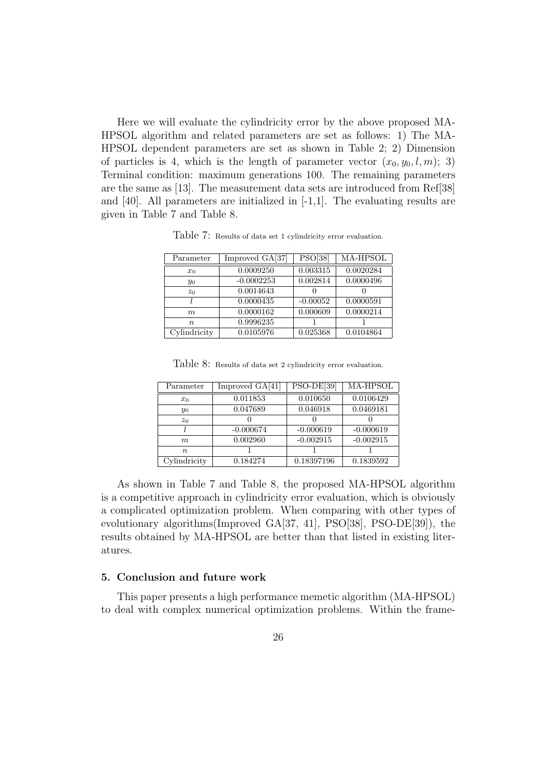Here we will evaluate the cylindricity error by the above proposed MA-HPSOL algorithm and related parameters are set as follows: 1) The MA-HPSOL dependent parameters are set as shown in Table 2; 2) Dimension of particles is 4, which is the length of parameter vector  $(x_0, y_0, l, m)$ ; 3) Terminal condition: maximum generations 100. The remaining parameters are the same as [13]. The measurement data sets are introduced from Ref[38] and [40]. All parameters are initialized in [-1,1]. The evaluating results are given in Table 7 and Table 8.

| Parameter    | Improved GA[37] | PSO[38]    | MA-HPSOL  |
|--------------|-----------------|------------|-----------|
| $x_0$        | 0.0009250       | 0.003315   | 0.0020284 |
| $y_0$        | $-0.0002253$    | 0.002814   | 0.0000496 |
| $z_0$        | 0.0014643       |            |           |
|              | 0.0000435       | $-0.00052$ | 0.0000591 |
| m            | 0.0000162       | 0.000609   | 0.0000214 |
| $n_{\rm c}$  | 0.9996235       |            |           |
| Cylindricity | 0.0105976       | 0.025368   | 0.0104864 |

Table 7: Results of data set 1 cylindricity error evaluation.

Table 8: Results of data set 2 cylindricity error evaluation.

| Parameter    | Improved GA[41] | $PSO-DE[39]$ | MA-HPSOL    |
|--------------|-----------------|--------------|-------------|
| $x_0$        | 0.011853        | 0.010650     | 0.0106429   |
| $y_0$        | 0.047689        | 0.046918     | 0.0469181   |
| $z_0$        |                 |              |             |
|              | $-0.000674$     | $-0.000619$  | $-0.000619$ |
| m            | 0.002960        | $-0.002915$  | $-0.002915$ |
| $\, n$       |                 |              |             |
| Cylindricity | 0.184274        | 0.18397196   | 0.1839592   |

As shown in Table 7 and Table 8, the proposed MA-HPSOL algorithm is a competitive approach in cylindricity error evaluation, which is obviously a complicated optimization problem. When comparing with other types of evolutionary algorithms(Improved GA[37, 41], PSO[38], PSO-DE[39]), the results obtained by MA-HPSOL are better than that listed in existing literatures.

# **5. Conclusion and future work**

This paper presents a high performance memetic algorithm (MA-HPSOL) to deal with complex numerical optimization problems. Within the frame-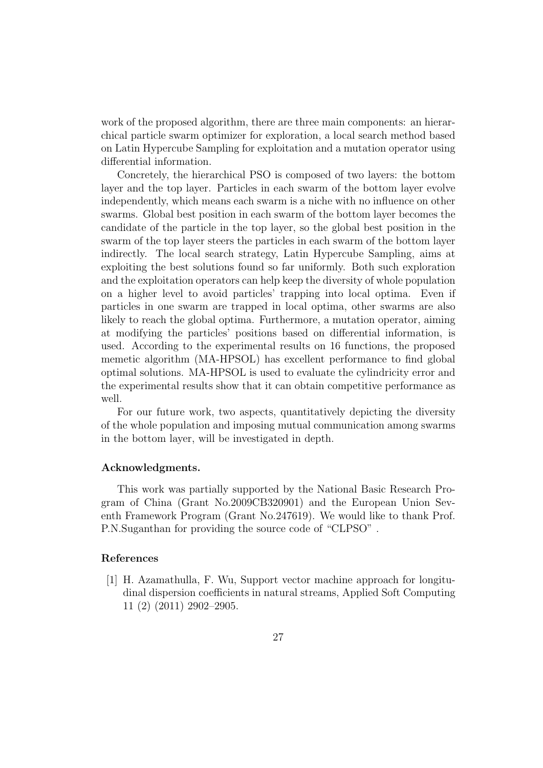work of the proposed algorithm, there are three main components: an hierarchical particle swarm optimizer for exploration, a local search method based on Latin Hypercube Sampling for exploitation and a mutation operator using differential information.

Concretely, the hierarchical PSO is composed of two layers: the bottom layer and the top layer. Particles in each swarm of the bottom layer evolve independently, which means each swarm is a niche with no influence on other swarms. Global best position in each swarm of the bottom layer becomes the candidate of the particle in the top layer, so the global best position in the swarm of the top layer steers the particles in each swarm of the bottom layer indirectly. The local search strategy, Latin Hypercube Sampling, aims at exploiting the best solutions found so far uniformly. Both such exploration and the exploitation operators can help keep the diversity of whole population on a higher level to avoid particles' trapping into local optima. Even if particles in one swarm are trapped in local optima, other swarms are also likely to reach the global optima. Furthermore, a mutation operator, aiming at modifying the particles' positions based on differential information, is used. According to the experimental results on 16 functions, the proposed memetic algorithm (MA-HPSOL) has excellent performance to find global optimal solutions. MA-HPSOL is used to evaluate the cylindricity error and the experimental results show that it can obtain competitive performance as well.

For our future work, two aspects, quantitatively depicting the diversity of the whole population and imposing mutual communication among swarms in the bottom layer, will be investigated in depth.

## **Acknowledgments.**

This work was partially supported by the National Basic Research Program of China (Grant No.2009CB320901) and the European Union Seventh Framework Program (Grant No.247619). We would like to thank Prof. P.N.Suganthan for providing the source code of "CLPSO" .

# **References**

[1] H. Azamathulla, F. Wu, Support vector machine approach for longitudinal dispersion coefficients in natural streams, Applied Soft Computing 11 (2) (2011) 2902–2905.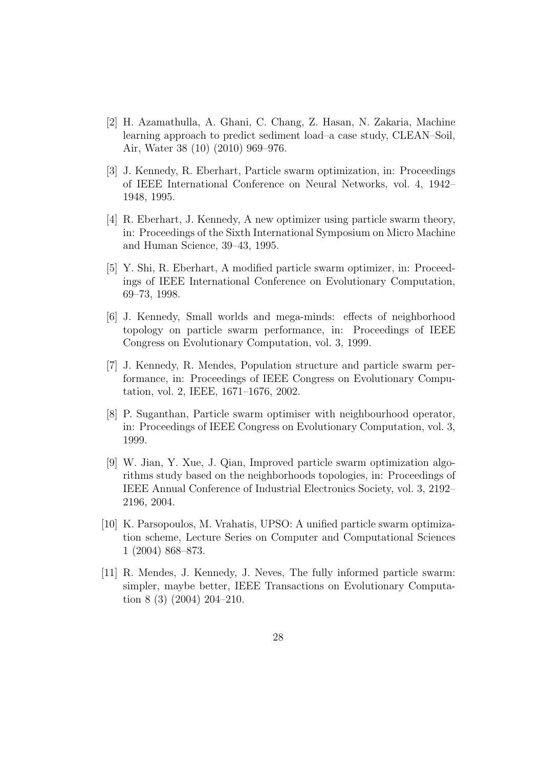- [2] H. Azamathulla, A. Ghani, C. Chang, Z. Hasan, N. Zakaria, Machine learning approach to predict sediment load–a case study, CLEAN–Soil, Air, Water 38 (10) (2010) 969–976.
- [3] J. Kennedy, R. Eberhart, Particle swarm optimization, in: Proceedings of IEEE International Conference on Neural Networks, vol. 4, 1942– 1948, 1995.
- [4] R. Eberhart, J. Kennedy, A new optimizer using particle swarm theory, in: Proceedings of the Sixth International Symposium on Micro Machine and Human Science, 39–43, 1995.
- [5] Y. Shi, R. Eberhart, A modified particle swarm optimizer, in: Proceedings of IEEE International Conference on Evolutionary Computation, 69–73, 1998.
- [6] J. Kennedy, Small worlds and mega-minds: effects of neighborhood topology on particle swarm performance, in: Proceedings of IEEE Congress on Evolutionary Computation, vol. 3, 1999.
- [7] J. Kennedy, R. Mendes, Population structure and particle swarm performance, in: Proceedings of IEEE Congress on Evolutionary Computation, vol. 2, IEEE, 1671–1676, 2002.
- [8] P. Suganthan, Particle swarm optimiser with neighbourhood operator, in: Proceedings of IEEE Congress on Evolutionary Computation, vol. 3, 1999.
- [9] W. Jian, Y. Xue, J. Qian, Improved particle swarm optimization algorithms study based on the neighborhoods topologies, in: Proceedings of IEEE Annual Conference of Industrial Electronics Society, vol. 3, 2192– 2196, 2004.
- [10] K. Parsopoulos, M. Vrahatis, UPSO: A unified particle swarm optimization scheme, Lecture Series on Computer and Computational Sciences 1 (2004) 868–873.
- [11] R. Mendes, J. Kennedy, J. Neves, The fully informed particle swarm: simpler, maybe better, IEEE Transactions on Evolutionary Computation 8 (3) (2004) 204–210.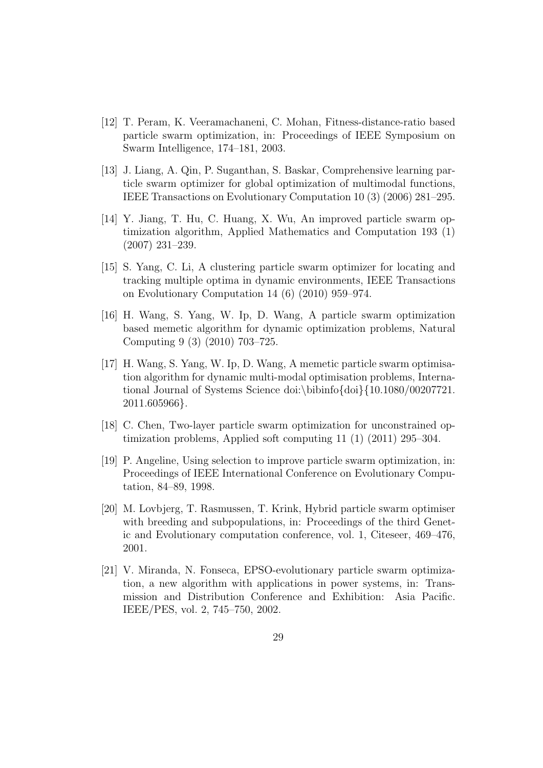- [12] T. Peram, K. Veeramachaneni, C. Mohan, Fitness-distance-ratio based particle swarm optimization, in: Proceedings of IEEE Symposium on Swarm Intelligence, 174–181, 2003.
- [13] J. Liang, A. Qin, P. Suganthan, S. Baskar, Comprehensive learning particle swarm optimizer for global optimization of multimodal functions, IEEE Transactions on Evolutionary Computation 10 (3) (2006) 281–295.
- [14] Y. Jiang, T. Hu, C. Huang, X. Wu, An improved particle swarm optimization algorithm, Applied Mathematics and Computation 193 (1) (2007) 231–239.
- [15] S. Yang, C. Li, A clustering particle swarm optimizer for locating and tracking multiple optima in dynamic environments, IEEE Transactions on Evolutionary Computation 14 (6) (2010) 959–974.
- [16] H. Wang, S. Yang, W. Ip, D. Wang, A particle swarm optimization based memetic algorithm for dynamic optimization problems, Natural Computing 9 (3) (2010) 703–725.
- [17] H. Wang, S. Yang, W. Ip, D. Wang, A memetic particle swarm optimisation algorithm for dynamic multi-modal optimisation problems, International Journal of Systems Science doi:*\*bibinfo*{*doi*}{*10.1080/00207721. 2011.605966*}*.
- [18] C. Chen, Two-layer particle swarm optimization for unconstrained optimization problems, Applied soft computing 11 (1) (2011) 295–304.
- [19] P. Angeline, Using selection to improve particle swarm optimization, in: Proceedings of IEEE International Conference on Evolutionary Computation, 84–89, 1998.
- [20] M. Lovbjerg, T. Rasmussen, T. Krink, Hybrid particle swarm optimiser with breeding and subpopulations, in: Proceedings of the third Genetic and Evolutionary computation conference, vol. 1, Citeseer, 469–476, 2001.
- [21] V. Miranda, N. Fonseca, EPSO-evolutionary particle swarm optimization, a new algorithm with applications in power systems, in: Transmission and Distribution Conference and Exhibition: Asia Pacific. IEEE/PES, vol. 2, 745–750, 2002.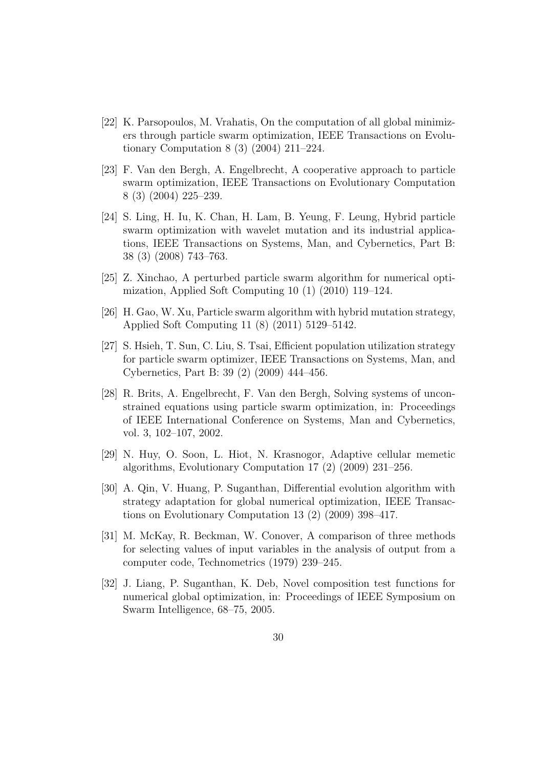- [22] K. Parsopoulos, M. Vrahatis, On the computation of all global minimizers through particle swarm optimization, IEEE Transactions on Evolutionary Computation 8 (3) (2004) 211–224.
- [23] F. Van den Bergh, A. Engelbrecht, A cooperative approach to particle swarm optimization, IEEE Transactions on Evolutionary Computation 8 (3) (2004) 225–239.
- [24] S. Ling, H. Iu, K. Chan, H. Lam, B. Yeung, F. Leung, Hybrid particle swarm optimization with wavelet mutation and its industrial applications, IEEE Transactions on Systems, Man, and Cybernetics, Part B: 38 (3) (2008) 743–763.
- [25] Z. Xinchao, A perturbed particle swarm algorithm for numerical optimization, Applied Soft Computing 10 (1) (2010) 119–124.
- [26] H. Gao, W. Xu, Particle swarm algorithm with hybrid mutation strategy, Applied Soft Computing 11 (8) (2011) 5129–5142.
- [27] S. Hsieh, T. Sun, C. Liu, S. Tsai, Efficient population utilization strategy for particle swarm optimizer, IEEE Transactions on Systems, Man, and Cybernetics, Part B: 39 (2) (2009) 444–456.
- [28] R. Brits, A. Engelbrecht, F. Van den Bergh, Solving systems of unconstrained equations using particle swarm optimization, in: Proceedings of IEEE International Conference on Systems, Man and Cybernetics, vol. 3, 102–107, 2002.
- [29] N. Huy, O. Soon, L. Hiot, N. Krasnogor, Adaptive cellular memetic algorithms, Evolutionary Computation 17 (2) (2009) 231–256.
- [30] A. Qin, V. Huang, P. Suganthan, Differential evolution algorithm with strategy adaptation for global numerical optimization, IEEE Transactions on Evolutionary Computation 13 (2) (2009) 398–417.
- [31] M. McKay, R. Beckman, W. Conover, A comparison of three methods for selecting values of input variables in the analysis of output from a computer code, Technometrics (1979) 239–245.
- [32] J. Liang, P. Suganthan, K. Deb, Novel composition test functions for numerical global optimization, in: Proceedings of IEEE Symposium on Swarm Intelligence, 68–75, 2005.